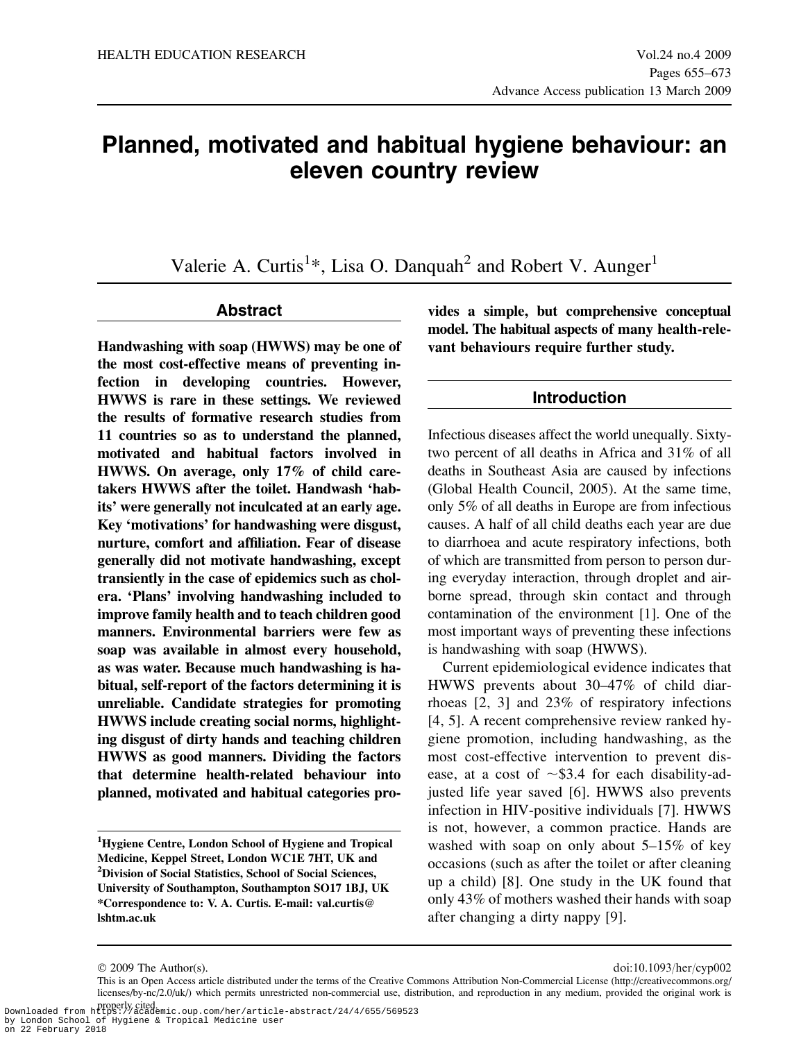# Planned, motivated and habitual hygiene behaviour: an eleven country review

Valerie A. Curtis<sup>1</sup>\*, Lisa O. Danquah<sup>2</sup> and Robert V. Aunger<sup>1</sup>

#### Abstract

Handwashing with soap (HWWS) may be one of the most cost-effective means of preventing infection in developing countries. However, HWWS is rare in these settings. We reviewed the results of formative research studies from 11 countries so as to understand the planned, motivated and habitual factors involved in HWWS. On average, only 17% of child caretakers HWWS after the toilet. Handwash 'habits' were generally not inculcated at an early age. Key 'motivations' for handwashing were disgust, nurture, comfort and affiliation. Fear of disease generally did not motivate handwashing, except transiently in the case of epidemics such as cholera. 'Plans' involving handwashing included to improve family health and to teach children good manners. Environmental barriers were few as soap was available in almost every household, as was water. Because much handwashing is habitual, self-report of the factors determining it is unreliable. Candidate strategies for promoting HWWS include creating social norms, highlighting disgust of dirty hands and teaching children HWWS as good manners. Dividing the factors that determine health-related behaviour into planned, motivated and habitual categories pro-

<sup>1</sup>Hygiene Centre, London School of Hygiene and Tropical Medicine, Keppel Street, London WC1E 7HT, UK and <sup>2</sup>Division of Social Statistics, School of Social Sciences, University of Southampton, Southampton SO17 1BJ, UK \*Correspondence to: V. A. Curtis. E-mail: val.curtis@ lshtm.ac.uk

vides a simple, but comprehensive conceptual model. The habitual aspects of many health-relevant behaviours require further study.

#### Introduction

Infectious diseases affect the world unequally. Sixtytwo percent of all deaths in Africa and 31% of all deaths in Southeast Asia are caused by infections (Global Health Council, 2005). At the same time, only 5% of all deaths in Europe are from infectious causes. A half of all child deaths each year are due to diarrhoea and acute respiratory infections, both of which are transmitted from person to person during everyday interaction, through droplet and airborne spread, through skin contact and through contamination of the environment [1]. One of the most important ways of preventing these infections is handwashing with soap (HWWS).

Current epidemiological evidence indicates that HWWS prevents about 30–47% of child diarrhoeas [2, 3] and 23% of respiratory infections [4, 5]. A recent comprehensive review ranked hygiene promotion, including handwashing, as the most cost-effective intervention to prevent disease, at a cost of  $\sim$ \$3.4 for each disability-adjusted life year saved [6]. HWWS also prevents infection in HIV-positive individuals [7]. HWWS is not, however, a common practice. Hands are washed with soap on only about 5–15% of key occasions (such as after the toilet or after cleaning up a child) [8]. One study in the UK found that only 43% of mothers washed their hands with soap after changing a dirty nappy [9].

This is an Open Access article distributed under the terms of the Creative Commons Attribution Non-Commercial License (http://creativecommons.org/ licenses/by-nc/2.0/uk/) which permits unrestricted non-commercial use, distribution, and reproduction in any medium, provided the original work is

properly cited. Downloaded from https://academic.oup.com/her/article-abstract/24/4/655/569523 by London School of Hygiene & Tropical Medicine user on 22 February 2018

2009 The Author(s). doi:10.1093/her/cyp002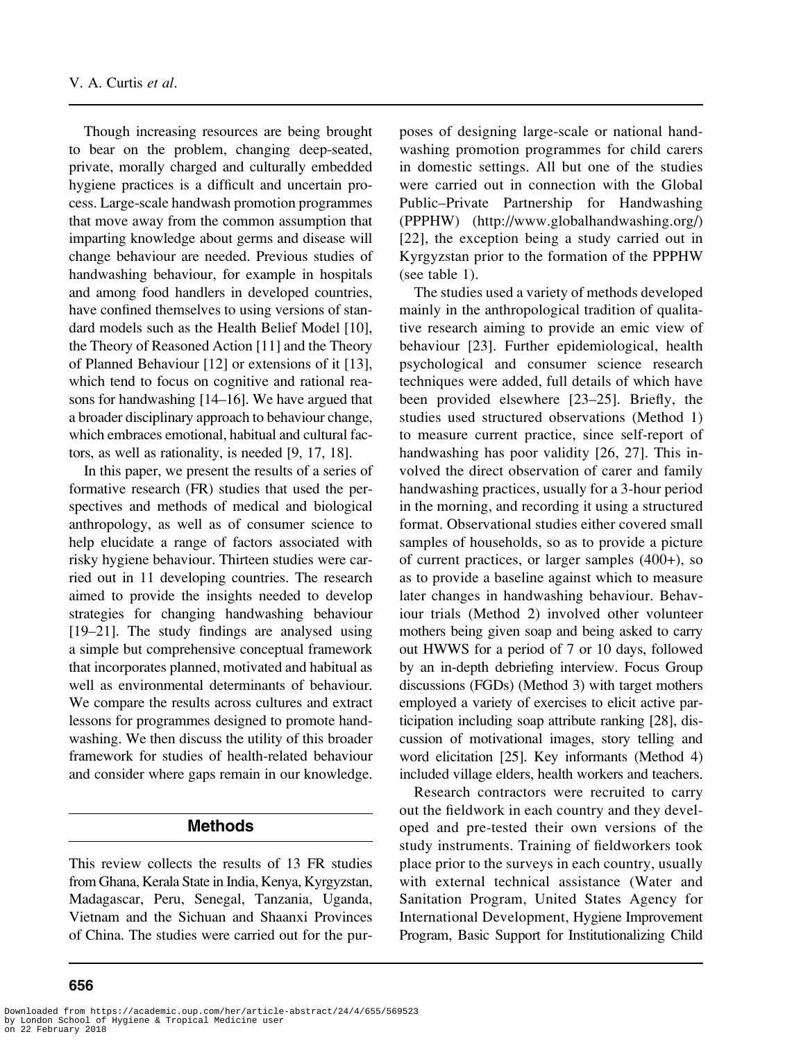Though increasing resources are being brought to bear on the problem, changing deep-seated, private, morally charged and culturally embedded hygiene practices is a difficult and uncertain process. Large-scale handwash promotion programmes that move away from the common assumption that imparting knowledge about germs and disease will change behaviour are needed. Previous studies of handwashing behaviour, for example in hospitals and among food handlers in developed countries, have confined themselves to using versions of standard models such as the Health Belief Model [10], the Theory of Reasoned Action [11] and the Theory of Planned Behaviour [12] or extensions of it [13], which tend to focus on cognitive and rational reasons for handwashing [14–16]. We have argued that a broader disciplinary approach to behaviour change, which embraces emotional, habitual and cultural factors, as well as rationality, is needed [9, 17, 18].

In this paper, we present the results of a series of formative research (FR) studies that used the perspectives and methods of medical and biological anthropology, as well as of consumer science to help elucidate a range of factors associated with risky hygiene behaviour. Thirteen studies were carried out in 11 developing countries. The research aimed to provide the insights needed to develop strategies for changing handwashing behaviour [19–21]. The study findings are analysed using a simple but comprehensive conceptual framework that incorporates planned, motivated and habitual as well as environmental determinants of behaviour. We compare the results across cultures and extract lessons for programmes designed to promote handwashing. We then discuss the utility of this broader framework for studies of health-related behaviour and consider where gaps remain in our knowledge.

#### Methods

This review collects the results of 13 FR studies from Ghana, Kerala State in India, Kenya, Kyrgyzstan, Madagascar, Peru, Senegal, Tanzania, Uganda, Vietnam and the Sichuan and Shaanxi Provinces of China. The studies were carried out for the purposes of designing large-scale or national handwashing promotion programmes for child carers in domestic settings. All but one of the studies were carried out in connection with the Global Public–Private Partnership for Handwashing (PPPHW) (<http://www.globalhandwashing.org/>) [22], the exception being a study carried out in Kyrgyzstan prior to the formation of the PPPHW (see table 1).

The studies used a variety of methods developed mainly in the anthropological tradition of qualitative research aiming to provide an emic view of behaviour [23]. Further epidemiological, health psychological and consumer science research techniques were added, full details of which have been provided elsewhere [23–25]. Briefly, the studies used structured observations (Method 1) to measure current practice, since self-report of handwashing has poor validity [26, 27]. This involved the direct observation of carer and family handwashing practices, usually for a 3-hour period in the morning, and recording it using a structured format. Observational studies either covered small samples of households, so as to provide a picture of current practices, or larger samples (400+), so as to provide a baseline against which to measure later changes in handwashing behaviour. Behaviour trials (Method 2) involved other volunteer mothers being given soap and being asked to carry out HWWS for a period of 7 or 10 days, followed by an in-depth debriefing interview. Focus Group discussions (FGDs) (Method 3) with target mothers employed a variety of exercises to elicit active participation including soap attribute ranking [28], discussion of motivational images, story telling and word elicitation [25]. Key informants (Method 4) included village elders, health workers and teachers.

Research contractors were recruited to carry out the fieldwork in each country and they developed and pre-tested their own versions of the study instruments. Training of fieldworkers took place prior to the surveys in each country, usually with external technical assistance (Water and Sanitation Program, United States Agency for International Development, Hygiene Improvement Program, Basic Support for Institutionalizing Child

Downloaded from https://academic.oup.com/her/article-abstract/24/4/655/569523 by London School of Hygiene & Tropical Medicine user on 22 February 2018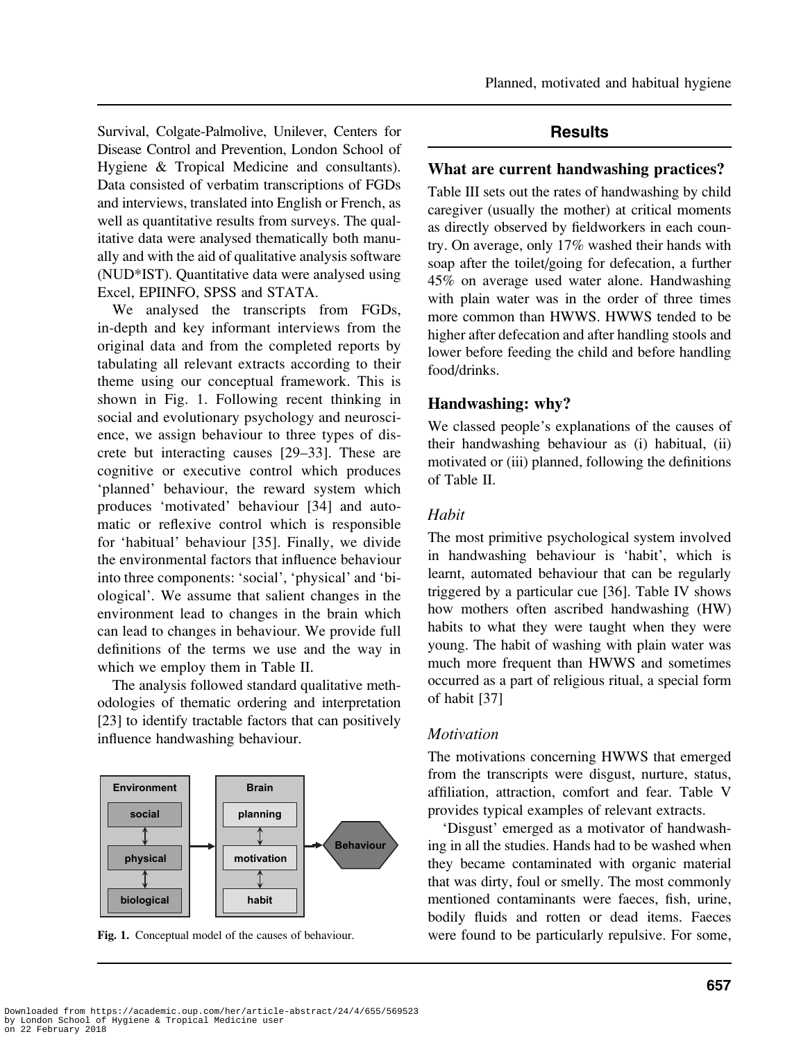Survival, Colgate-Palmolive, Unilever, Centers for Disease Control and Prevention, London School of Hygiene & Tropical Medicine and consultants). Data consisted of verbatim transcriptions of FGDs and interviews, translated into English or French, as well as quantitative results from surveys. The qualitative data were analysed thematically both manually and with the aid of qualitative analysis software (NUD\*IST). Quantitative data were analysed using Excel, EPIINFO, SPSS and STATA.

We analysed the transcripts from FGDs, in-depth and key informant interviews from the original data and from the completed reports by tabulating all relevant extracts according to their theme using our conceptual framework. This is shown in Fig. 1. Following recent thinking in social and evolutionary psychology and neuroscience, we assign behaviour to three types of discrete but interacting causes [29–33]. These are cognitive or executive control which produces 'planned' behaviour, the reward system which produces 'motivated' behaviour [34] and automatic or reflexive control which is responsible for 'habitual' behaviour [35]. Finally, we divide the environmental factors that influence behaviour into three components: 'social', 'physical' and 'biological'. We assume that salient changes in the environment lead to changes in the brain which can lead to changes in behaviour. We provide full definitions of the terms we use and the way in which we employ them in Table II.

The analysis followed standard qualitative methodologies of thematic ordering and interpretation [23] to identify tractable factors that can positively influence handwashing behaviour.





### **Results**

#### What are current handwashing practices?

Table III sets out the rates of handwashing by child caregiver (usually the mother) at critical moments as directly observed by fieldworkers in each country. On average, only 17% washed their hands with soap after the toilet/going for defecation, a further 45% on average used water alone. Handwashing with plain water was in the order of three times more common than HWWS. HWWS tended to be higher after defecation and after handling stools and lower before feeding the child and before handling food/drinks.

## Handwashing: why?

We classed people's explanations of the causes of their handwashing behaviour as (i) habitual, (ii) motivated or (iii) planned, following the definitions of Table II.

## **Habit**

The most primitive psychological system involved in handwashing behaviour is 'habit', which is learnt, automated behaviour that can be regularly triggered by a particular cue [36]. Table IV shows how mothers often ascribed handwashing (HW) habits to what they were taught when they were young. The habit of washing with plain water was much more frequent than HWWS and sometimes occurred as a part of religious ritual, a special form of habit [37]

#### **Motivation**

The motivations concerning HWWS that emerged from the transcripts were disgust, nurture, status, affiliation, attraction, comfort and fear. Table V provides typical examples of relevant extracts.

'Disgust' emerged as a motivator of handwashing in all the studies. Hands had to be washed when they became contaminated with organic material that was dirty, foul or smelly. The most commonly mentioned contaminants were faeces, fish, urine, bodily fluids and rotten or dead items. Faeces were found to be particularly repulsive. For some,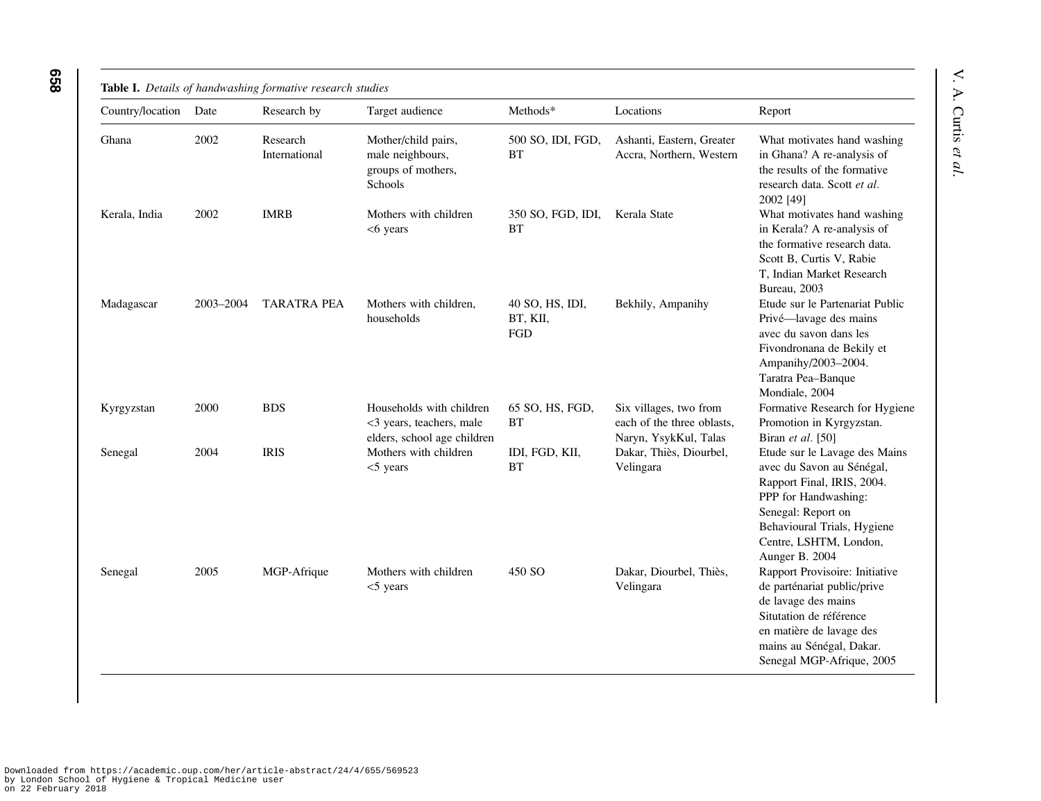V. A. Curtis et al .

| Country/location | Date      | Research by               | Target audience                                                                     | Methods*                           | Locations                                                                     | Report                                                                                                                                                                                                            |
|------------------|-----------|---------------------------|-------------------------------------------------------------------------------------|------------------------------------|-------------------------------------------------------------------------------|-------------------------------------------------------------------------------------------------------------------------------------------------------------------------------------------------------------------|
| Ghana            | 2002      | Research<br>International | Mother/child pairs,<br>male neighbours,<br>groups of mothers,<br>Schools            | 500 SO, IDI, FGD,<br><b>BT</b>     | Ashanti, Eastern, Greater<br>Accra, Northern, Western                         | What motivates hand washing<br>in Ghana? A re-analysis of<br>the results of the formative<br>research data. Scott et al.<br>2002 [49]                                                                             |
| Kerala, India    | 2002      | <b>IMRB</b>               | Mothers with children<br>$<6$ years                                                 | 350 SO, FGD, IDI,<br><b>BT</b>     | Kerala State                                                                  | What motivates hand washing<br>in Kerala? A re-analysis of<br>the formative research data.<br>Scott B. Curtis V. Rabie<br>T, Indian Market Research<br>Bureau, 2003                                               |
| Madagascar       | 2003-2004 | <b>TARATRA PEA</b>        | Mothers with children.<br>households                                                | 40 SO, HS, IDI,<br>BT, KII,<br>FGD | Bekhily, Ampanihy                                                             | Etude sur le Partenariat Public<br>Privé-lavage des mains<br>avec du savon dans les<br>Fivondronana de Bekily et<br>Ampanihy/2003-2004.<br>Taratra Pea-Banque<br>Mondiale, 2004                                   |
| Kyrgyzstan       | 2000      | <b>BDS</b>                | Households with children<br><3 years, teachers, male<br>elders, school age children | 65 SO, HS, FGD,<br><b>BT</b>       | Six villages, two from<br>each of the three oblasts,<br>Naryn, YsykKul, Talas | Formative Research for Hygiene<br>Promotion in Kyrgyzstan.<br>Biran et al. [50]                                                                                                                                   |
| Senegal          | 2004      | <b>IRIS</b>               | Mothers with children<br>$<$ 5 years                                                | IDI, FGD, KII,<br><b>BT</b>        | Dakar, Thiès, Diourbel,<br>Velingara                                          | Etude sur le Lavage des Mains<br>avec du Savon au Sénégal,<br>Rapport Final, IRIS, 2004.<br>PPP for Handwashing:<br>Senegal: Report on<br>Behavioural Trials, Hygiene<br>Centre, LSHTM, London,<br>Aunger B. 2004 |
| Senegal          | 2005      | MGP-Afrique               | Mothers with children<br>$<$ 5 years                                                | 450 SO                             | Dakar, Diourbel, Thiès,<br>Velingara                                          | Rapport Provisoire: Initiative<br>de parténariat public/prive<br>de lavage des mains<br>Situtation de référence<br>en matière de lavage des<br>mains au Sénégal, Dakar.<br>Senegal MGP-Afrique, 2005              |

658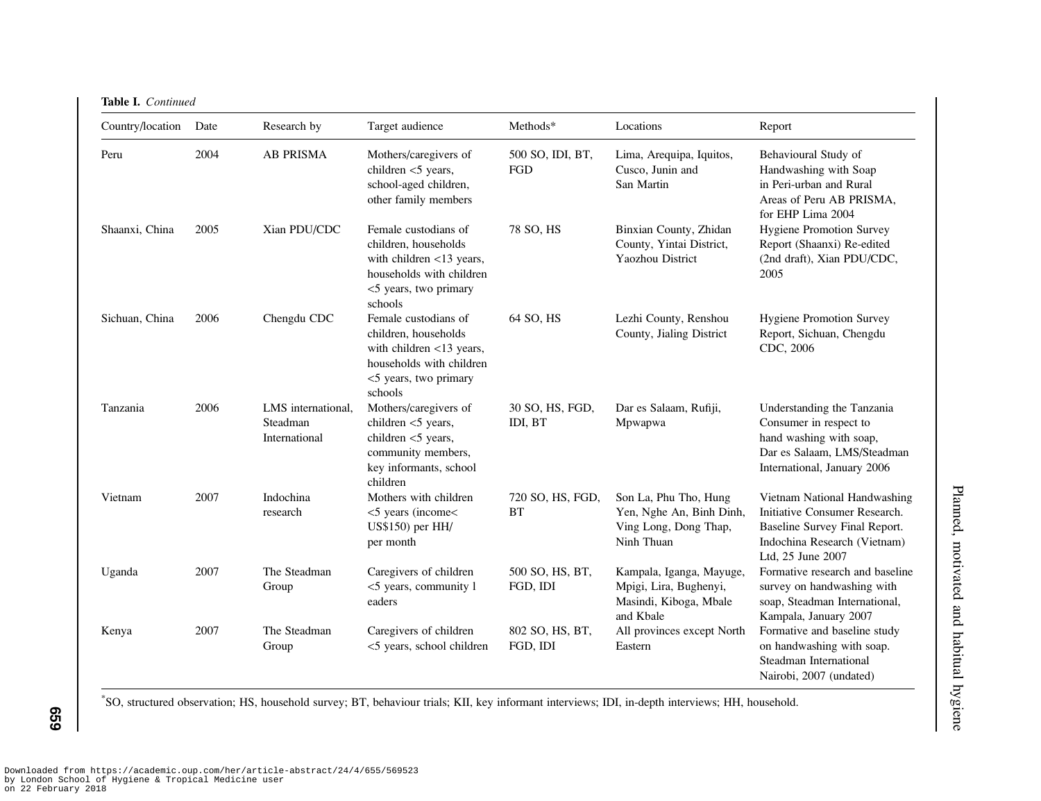**Table I.** Continued

| Country/location | Date | Research by                                     | Target audience                                                                                                                             | Methods*                      | Locations                                                                                 | Report                                                                                                                                              |
|------------------|------|-------------------------------------------------|---------------------------------------------------------------------------------------------------------------------------------------------|-------------------------------|-------------------------------------------------------------------------------------------|-----------------------------------------------------------------------------------------------------------------------------------------------------|
| Peru             | 2004 | <b>AB PRISMA</b>                                | Mothers/caregivers of<br>children <5 years,<br>school-aged children,<br>other family members                                                | 500 SO, IDI, BT,<br>FGD       | Lima, Arequipa, Iquitos,<br>Cusco, Junin and<br>San Martin                                | Behavioural Study of<br>Handwashing with Soap<br>in Peri-urban and Rural<br>Areas of Peru AB PRISMA,<br>for EHP Lima 2004                           |
| Shaanxi, China   | 2005 | Xian PDU/CDC                                    | Female custodians of<br>children, households<br>with children $<$ 13 years,<br>households with children<br><5 years, two primary<br>schools | 78 SO, HS                     | Binxian County, Zhidan<br>County, Yintai District,<br>Yaozhou District                    | <b>Hygiene Promotion Survey</b><br>Report (Shaanxi) Re-edited<br>(2nd draft), Xian PDU/CDC,<br>2005                                                 |
| Sichuan, China   | 2006 | Chengdu CDC                                     | Female custodians of<br>children, households<br>with children $<$ 13 years,<br>households with children<br><5 years, two primary<br>schools | 64 SO, HS                     | Lezhi County, Renshou<br>County, Jialing District                                         | <b>Hygiene Promotion Survey</b><br>Report, Sichuan, Chengdu<br>CDC, 2006                                                                            |
| Tanzania         | 2006 | LMS international.<br>Steadman<br>International | Mothers/caregivers of<br>children <5 years,<br>children $<$ 5 years,<br>community members,<br>key informants, school<br>children            | 30 SO, HS, FGD,<br>IDI, BT    | Dar es Salaam, Rufiji,<br>Mpwapwa                                                         | Understanding the Tanzania<br>Consumer in respect to<br>hand washing with soap,<br>Dar es Salaam, LMS/Steadman<br>International, January 2006       |
| Vietnam          | 2007 | Indochina<br>research                           | Mothers with children<br><5 years (income<<br>$US$150$ ) per $HH/$<br>per month                                                             | 720 SO, HS, FGD,<br><b>BT</b> | Son La, Phu Tho, Hung<br>Yen, Nghe An, Binh Dinh,<br>Ving Long, Dong Thap,<br>Ninh Thuan  | Vietnam National Handwashing<br>Initiative Consumer Research.<br>Baseline Survey Final Report.<br>Indochina Research (Vietnam)<br>Ltd, 25 June 2007 |
| Uganda           | 2007 | The Steadman<br>Group                           | Caregivers of children<br><5 years, community 1<br>eaders                                                                                   | 500 SO, HS, BT,<br>FGD, IDI   | Kampala, Iganga, Mayuge,<br>Mpigi, Lira, Bughenyi,<br>Masindi, Kiboga, Mbale<br>and Kbale | Formative research and baseline<br>survey on handwashing with<br>soap, Steadman International,<br>Kampala, January 2007                             |
| Kenya            | 2007 | The Steadman<br>Group                           | Caregivers of children<br><5 years, school children                                                                                         | 802 SO, HS, BT,<br>FGD, IDI   | All provinces except North<br>Eastern                                                     | Formative and baseline study<br>on handwashing with soap.<br>Steadman International<br>Nairobi, 2007 (undated)                                      |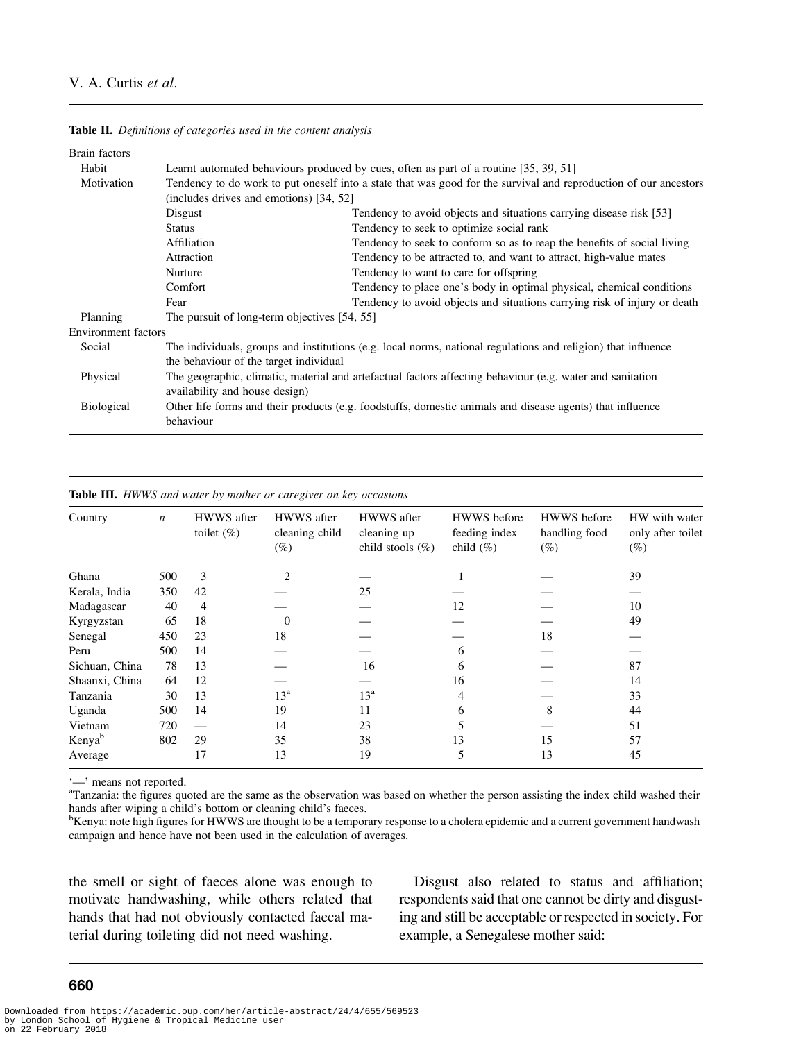| Learnt automated behaviours produced by cues, often as part of a routine [35, 39, 51]                         |                                                                                                                  |  |  |  |
|---------------------------------------------------------------------------------------------------------------|------------------------------------------------------------------------------------------------------------------|--|--|--|
|                                                                                                               | Tendency to do work to put oneself into a state that was good for the survival and reproduction of our ancestors |  |  |  |
| (includes drives and emotions) [34, 52]                                                                       |                                                                                                                  |  |  |  |
| Disgust                                                                                                       | Tendency to avoid objects and situations carrying disease risk [53]                                              |  |  |  |
| Status                                                                                                        | Tendency to seek to optimize social rank                                                                         |  |  |  |
| Affiliation                                                                                                   | Tendency to seek to conform so as to reap the benefits of social living                                          |  |  |  |
| Attraction                                                                                                    | Tendency to be attracted to, and want to attract, high-value mates                                               |  |  |  |
| Nurture                                                                                                       | Tendency to want to care for offspring                                                                           |  |  |  |
| Comfort                                                                                                       | Tendency to place one's body in optimal physical, chemical conditions                                            |  |  |  |
| Fear                                                                                                          | Tendency to avoid objects and situations carrying risk of injury or death                                        |  |  |  |
| The pursuit of long-term objectives [54, 55]                                                                  |                                                                                                                  |  |  |  |
| <b>Environment</b> factors                                                                                    |                                                                                                                  |  |  |  |
| The individuals, groups and institutions (e.g. local norms, national regulations and religion) that influence |                                                                                                                  |  |  |  |
| the behaviour of the target individual                                                                        |                                                                                                                  |  |  |  |
| The geographic, climatic, material and artefactual factors affecting behaviour (e.g. water and sanitation     |                                                                                                                  |  |  |  |
| availability and house design)                                                                                |                                                                                                                  |  |  |  |
|                                                                                                               | Other life forms and their products (e.g. foodstuffs, domestic animals and disease agents) that influence        |  |  |  |
| behaviour                                                                                                     |                                                                                                                  |  |  |  |
|                                                                                                               |                                                                                                                  |  |  |  |

Table II. Definitions of categories used in the content analysis

Table III. HWWS and water by mother or caregiver on key occasions

|                    |     |                                    | $\circ$                                | $\checkmark$                                             |                                                     |                                               |                                              |
|--------------------|-----|------------------------------------|----------------------------------------|----------------------------------------------------------|-----------------------------------------------------|-----------------------------------------------|----------------------------------------------|
| Country            | n   | <b>HWWS</b> after<br>toilet $(\%)$ | HWWS after<br>cleaning child<br>$(\%)$ | <b>HWWS</b> after<br>cleaning up<br>child stools $(\% )$ | <b>HWWS</b> before<br>feeding index<br>child $(\%)$ | <b>HWWS</b> before<br>handling food<br>$(\%)$ | HW with water<br>only after toilet<br>$(\%)$ |
| Ghana              | 500 | 3                                  | $\mathfrak{D}$                         |                                                          |                                                     |                                               | 39                                           |
| Kerala, India      | 350 | 42                                 |                                        | 25                                                       |                                                     |                                               |                                              |
| Madagascar         | 40  | 4                                  |                                        |                                                          | 12                                                  |                                               | 10                                           |
| Kyrgyzstan         | 65  | 18                                 | $\Omega$                               |                                                          |                                                     |                                               | 49                                           |
| Senegal            | 450 | 23                                 | 18                                     |                                                          |                                                     | 18                                            |                                              |
| Peru               | 500 | 14                                 |                                        |                                                          | 6                                                   |                                               |                                              |
| Sichuan, China     | 78  | 13                                 |                                        | 16                                                       | 6                                                   |                                               | 87                                           |
| Shaanxi, China     | 64  | 12                                 |                                        |                                                          | 16                                                  |                                               | 14                                           |
| Tanzania           | 30  | 13                                 | $13^{\rm a}$                           | $13^{\rm a}$                                             | 4                                                   |                                               | 33                                           |
| Uganda             | 500 | 14                                 | 19                                     | 11                                                       | 6                                                   | 8                                             | 44                                           |
| Vietnam            | 720 |                                    | 14                                     | 23                                                       |                                                     |                                               | 51                                           |
| Kenya <sup>b</sup> | 802 | 29                                 | 35                                     | 38                                                       | 13                                                  | 15                                            | 57                                           |
| Average            |     | 17                                 | 13                                     | 19                                                       | 5                                                   | 13                                            | 45                                           |

'—' means not reported.

<sup>a</sup>Tanzania: the figures quoted are the same as the observation was based on whether the person assisting the index child washed their hands after wiping a child's bottom or cleaning child's faeces.

<sup>b</sup>Kenya: note high figures for HWWS are thought to be a temporary response to a cholera epidemic and a current government handwash campaign and hence have not been used in the calculation of averages.

the smell or sight of faeces alone was enough to motivate handwashing, while others related that hands that had not obviously contacted faecal material during toileting did not need washing.

Disgust also related to status and affiliation; respondents said that one cannot be dirty and disgusting and still be acceptable or respected in society. For example, a Senegalese mother said: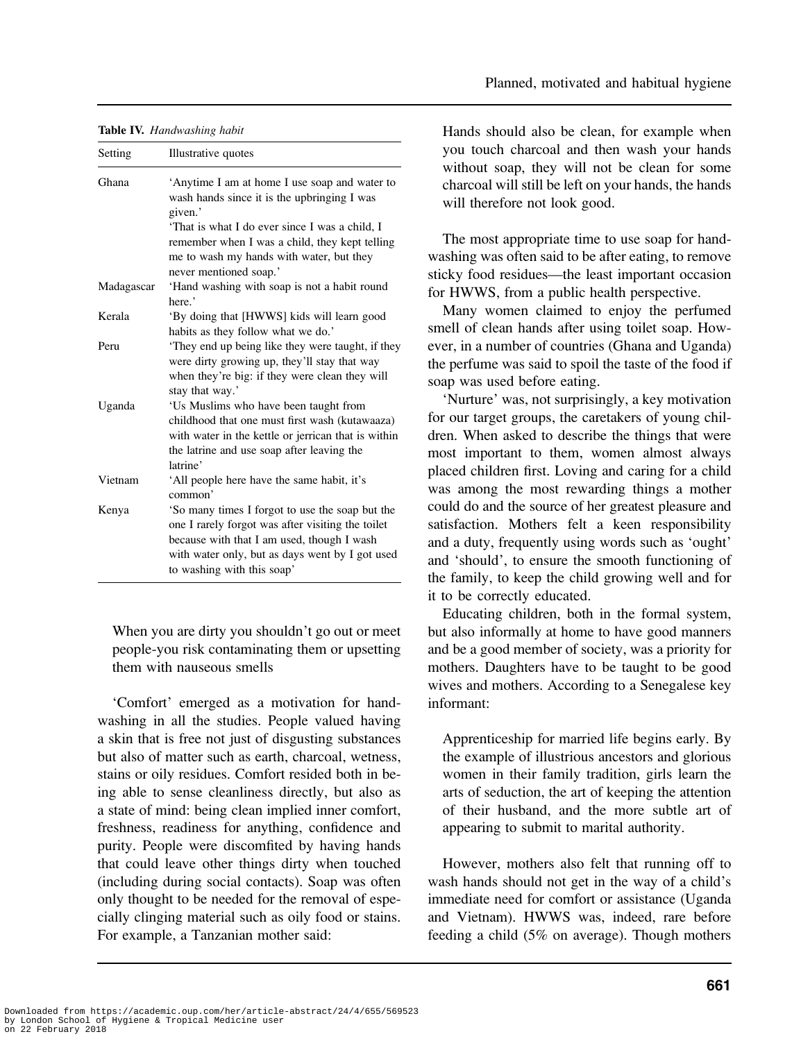Table IV. Handwashing habit

| Setting    | Illustrative quotes                                                                                                                                                                                                                                                               |
|------------|-----------------------------------------------------------------------------------------------------------------------------------------------------------------------------------------------------------------------------------------------------------------------------------|
| Ghana      | 'Anytime I am at home I use soap and water to<br>wash hands since it is the upbringing I was<br>given.'<br>'That is what I do ever since I was a child, I<br>remember when I was a child, they kept telling<br>me to wash my hands with water, but they<br>never mentioned soap.' |
| Madagascar | 'Hand washing with soap is not a habit round<br>here.'                                                                                                                                                                                                                            |
| Kerala     | 'By doing that [HWWS] kids will learn good<br>habits as they follow what we do.'                                                                                                                                                                                                  |
| Peru       | They end up being like they were taught, if they<br>were dirty growing up, they'll stay that way<br>when they're big: if they were clean they will<br>stay that way.'                                                                                                             |
| Uganda     | 'Us Muslims who have been taught from<br>childhood that one must first wash (kutawaaza)<br>with water in the kettle or jerrican that is within<br>the latrine and use soap after leaving the<br>latrine'                                                                          |
| Vietnam    | 'All people here have the same habit, it's<br>common'                                                                                                                                                                                                                             |
| Kenya      | 'So many times I forgot to use the soap but the<br>one I rarely forgot was after visiting the toilet<br>because with that I am used, though I wash<br>with water only, but as days went by I got used<br>to washing with this soap'                                               |

When you are dirty you shouldn't go out or meet people-you risk contaminating them or upsetting them with nauseous smells

'Comfort' emerged as a motivation for handwashing in all the studies. People valued having a skin that is free not just of disgusting substances but also of matter such as earth, charcoal, wetness, stains or oily residues. Comfort resided both in being able to sense cleanliness directly, but also as a state of mind: being clean implied inner comfort, freshness, readiness for anything, confidence and purity. People were discomfited by having hands that could leave other things dirty when touched (including during social contacts). Soap was often only thought to be needed for the removal of especially clinging material such as oily food or stains. For example, a Tanzanian mother said:

Hands should also be clean, for example when you touch charcoal and then wash your hands without soap, they will not be clean for some charcoal will still be left on your hands, the hands will therefore not look good.

The most appropriate time to use soap for handwashing was often said to be after eating, to remove sticky food residues—the least important occasion for HWWS, from a public health perspective.

Many women claimed to enjoy the perfumed smell of clean hands after using toilet soap. However, in a number of countries (Ghana and Uganda) the perfume was said to spoil the taste of the food if soap was used before eating.

'Nurture' was, not surprisingly, a key motivation for our target groups, the caretakers of young children. When asked to describe the things that were most important to them, women almost always placed children first. Loving and caring for a child was among the most rewarding things a mother could do and the source of her greatest pleasure and satisfaction. Mothers felt a keen responsibility and a duty, frequently using words such as 'ought' and 'should', to ensure the smooth functioning of the family, to keep the child growing well and for it to be correctly educated.

Educating children, both in the formal system, but also informally at home to have good manners and be a good member of society, was a priority for mothers. Daughters have to be taught to be good wives and mothers. According to a Senegalese key informant:

Apprenticeship for married life begins early. By the example of illustrious ancestors and glorious women in their family tradition, girls learn the arts of seduction, the art of keeping the attention of their husband, and the more subtle art of appearing to submit to marital authority.

However, mothers also felt that running off to wash hands should not get in the way of a child's immediate need for comfort or assistance (Uganda and Vietnam). HWWS was, indeed, rare before feeding a child (5% on average). Though mothers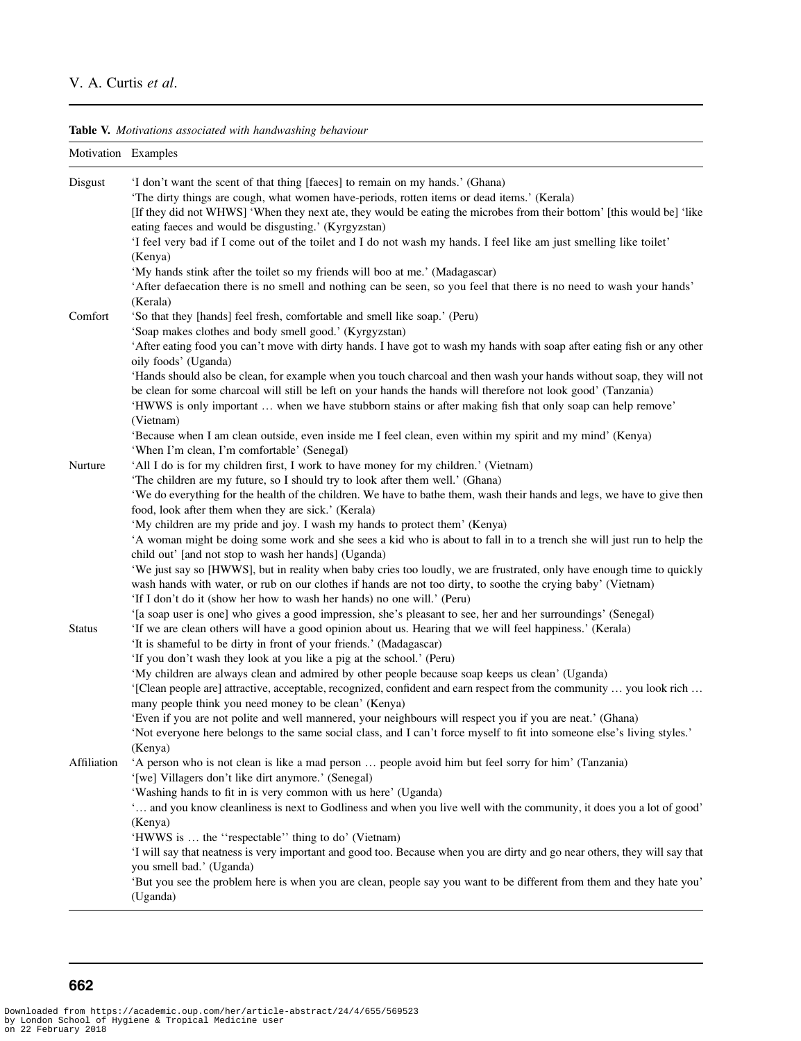|  |  |  |  |  | Table V. Motivations associated with handwashing behaviour |  |
|--|--|--|--|--|------------------------------------------------------------|--|
|--|--|--|--|--|------------------------------------------------------------|--|

Motivation Examples Disgust 'I don't want the scent of that thing [faeces] to remain on my hands.' (Ghana) 'The dirty things are cough, what women have-periods, rotten items or dead items.' (Kerala) [If they did not WHWS] 'When they next ate, they would be eating the microbes from their bottom' [this would be] 'like eating faeces and would be disgusting.' (Kyrgyzstan) 'I feel very bad if I come out of the toilet and I do not wash my hands. I feel like am just smelling like toilet' (Kenya) 'My hands stink after the toilet so my friends will boo at me.' (Madagascar) 'After defaecation there is no smell and nothing can be seen, so you feel that there is no need to wash your hands' (Kerala) Comfort 'So that they [hands] feel fresh, comfortable and smell like soap.' (Peru) 'Soap makes clothes and body smell good.' (Kyrgyzstan) 'After eating food you can't move with dirty hands. I have got to wash my hands with soap after eating fish or any other oily foods' (Uganda) 'Hands should also be clean, for example when you touch charcoal and then wash your hands without soap, they will not be clean for some charcoal will still be left on your hands the hands will therefore not look good' (Tanzania) 'HWWS is only important . when we have stubborn stains or after making fish that only soap can help remove' (Vietnam) 'Because when I am clean outside, even inside me I feel clean, even within my spirit and my mind' (Kenya) 'When I'm clean, I'm comfortable' (Senegal) Nurture 'All I do is for my children first, I work to have money for my children.' (Vietnam) 'The children are my future, so I should try to look after them well.' (Ghana) 'We do everything for the health of the children. We have to bathe them, wash their hands and legs, we have to give then food, look after them when they are sick.' (Kerala) 'My children are my pride and joy. I wash my hands to protect them' (Kenya) 'A woman might be doing some work and she sees a kid who is about to fall in to a trench she will just run to help the child out' [and not stop to wash her hands] (Uganda) 'We just say so [HWWS], but in reality when baby cries too loudly, we are frustrated, only have enough time to quickly wash hands with water, or rub on our clothes if hands are not too dirty, to soothe the crying baby' (Vietnam) 'If I don't do it (show her how to wash her hands) no one will.' (Peru) '[a soap user is one] who gives a good impression, she's pleasant to see, her and her surroundings' (Senegal) Status 'If we are clean others will have a good opinion about us. Hearing that we will feel happiness.' (Kerala) 'It is shameful to be dirty in front of your friends.' (Madagascar) 'If you don't wash they look at you like a pig at the school.' (Peru) 'My children are always clean and admired by other people because soap keeps us clean' (Uganda) '[Clean people are] attractive, acceptable, recognized, confident and earn respect from the community . you look rich . many people think you need money to be clean' (Kenya) 'Even if you are not polite and well mannered, your neighbours will respect you if you are neat.' (Ghana) 'Not everyone here belongs to the same social class, and I can't force myself to fit into someone else's living styles.' (Kenya) Affiliation 'A person who is not clean is like a mad person ... people avoid him but feel sorry for him' (Tanzania) '[we] Villagers don't like dirt anymore.' (Senegal) 'Washing hands to fit in is very common with us here' (Uganda) '. and you know cleanliness is next to Godliness and when you live well with the community, it does you a lot of good' (Kenya) 'HWWS is ... the "respectable" thing to do' (Vietnam) 'I will say that neatness is very important and good too. Because when you are dirty and go near others, they will say that you smell bad.' (Uganda) 'But you see the problem here is when you are clean, people say you want to be different from them and they hate you' (Uganda)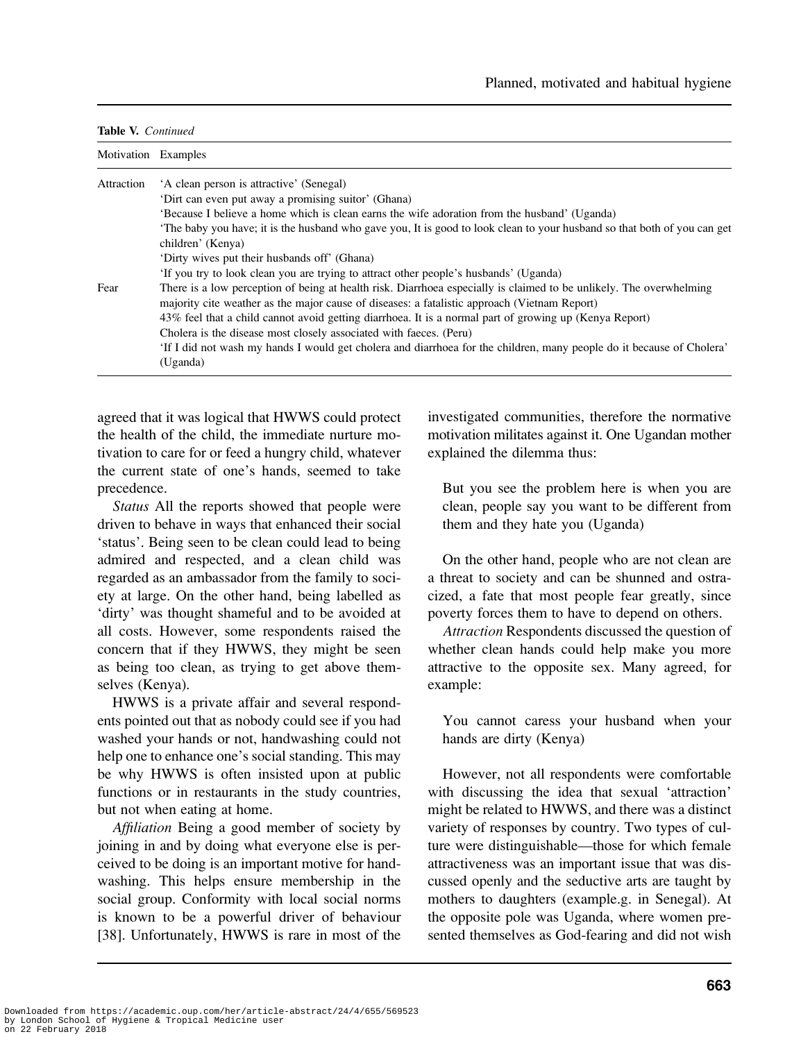Table V. Continued

| Motivation Examples |                                                                                                                                                                                                                     |
|---------------------|---------------------------------------------------------------------------------------------------------------------------------------------------------------------------------------------------------------------|
| Attraction          | 'A clean person is attractive' (Senegal)                                                                                                                                                                            |
|                     | 'Dirt can even put away a promising suitor' (Ghana)                                                                                                                                                                 |
|                     | 'Because I believe a home which is clean earns the wife adoration from the husband' (Uganda)                                                                                                                        |
|                     | The baby you have; it is the husband who gave you, It is good to look clean to your husband so that both of you can get<br>children' (Kenya)                                                                        |
|                     | 'Dirty wives put their husbands off' (Ghana)                                                                                                                                                                        |
|                     | 'If you try to look clean you are trying to attract other people's husbands' (Uganda)                                                                                                                               |
| Fear                | There is a low perception of being at health risk. Diarrhoea especially is claimed to be unlikely. The overwhelming<br>majority cite weather as the major cause of diseases: a fatalistic approach (Vietnam Report) |
|                     | 43% feel that a child cannot avoid getting diarrhoea. It is a normal part of growing up (Kenya Report)                                                                                                              |
|                     | Cholera is the disease most closely associated with faeces. (Peru)                                                                                                                                                  |
|                     | 'If I did not wash my hands I would get cholera and diarrhoea for the children, many people do it because of Cholera'<br>(Uganda)                                                                                   |

agreed that it was logical that HWWS could protect the health of the child, the immediate nurture motivation to care for or feed a hungry child, whatever the current state of one's hands, seemed to take precedence.

Status All the reports showed that people were driven to behave in ways that enhanced their social 'status'. Being seen to be clean could lead to being admired and respected, and a clean child was regarded as an ambassador from the family to society at large. On the other hand, being labelled as 'dirty' was thought shameful and to be avoided at all costs. However, some respondents raised the concern that if they HWWS, they might be seen as being too clean, as trying to get above themselves (Kenya).

HWWS is a private affair and several respondents pointed out that as nobody could see if you had washed your hands or not, handwashing could not help one to enhance one's social standing. This may be why HWWS is often insisted upon at public functions or in restaurants in the study countries, but not when eating at home.

Affiliation Being a good member of society by joining in and by doing what everyone else is perceived to be doing is an important motive for handwashing. This helps ensure membership in the social group. Conformity with local social norms is known to be a powerful driver of behaviour [38]. Unfortunately, HWWS is rare in most of the investigated communities, therefore the normative motivation militates against it. One Ugandan mother explained the dilemma thus:

But you see the problem here is when you are clean, people say you want to be different from them and they hate you (Uganda)

On the other hand, people who are not clean are a threat to society and can be shunned and ostracized, a fate that most people fear greatly, since poverty forces them to have to depend on others.

Attraction Respondents discussed the question of whether clean hands could help make you more attractive to the opposite sex. Many agreed, for example:

You cannot caress your husband when your hands are dirty (Kenya)

However, not all respondents were comfortable with discussing the idea that sexual 'attraction' might be related to HWWS, and there was a distinct variety of responses by country. Two types of culture were distinguishable—those for which female attractiveness was an important issue that was discussed openly and the seductive arts are taught by mothers to daughters (example.g. in Senegal). At the opposite pole was Uganda, where women presented themselves as God-fearing and did not wish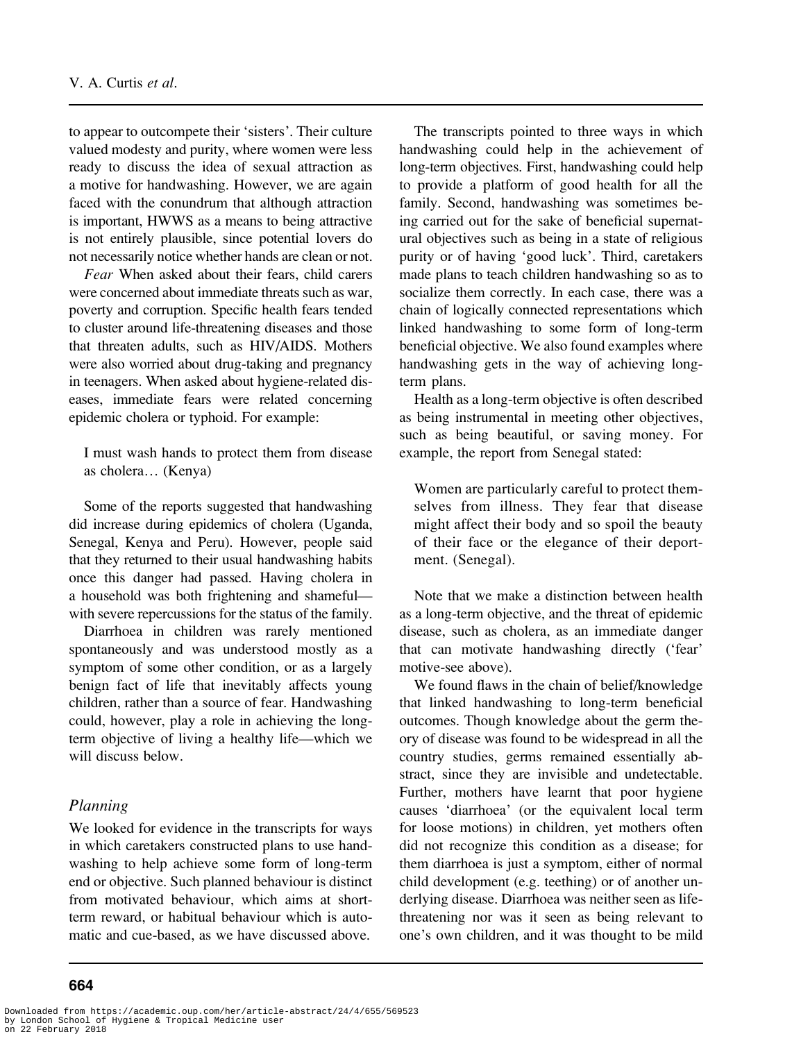to appear to outcompete their 'sisters'. Their culture valued modesty and purity, where women were less ready to discuss the idea of sexual attraction as a motive for handwashing. However, we are again faced with the conundrum that although attraction is important, HWWS as a means to being attractive is not entirely plausible, since potential lovers do not necessarily notice whether hands are clean or not.

Fear When asked about their fears, child carers were concerned about immediate threats such as war, poverty and corruption. Specific health fears tended to cluster around life-threatening diseases and those that threaten adults, such as HIV/AIDS. Mothers were also worried about drug-taking and pregnancy in teenagers. When asked about hygiene-related diseases, immediate fears were related concerning epidemic cholera or typhoid. For example:

I must wash hands to protect them from disease as cholera. (Kenya)

Some of the reports suggested that handwashing did increase during epidemics of cholera (Uganda, Senegal, Kenya and Peru). However, people said that they returned to their usual handwashing habits once this danger had passed. Having cholera in a household was both frightening and shameful with severe repercussions for the status of the family.

Diarrhoea in children was rarely mentioned spontaneously and was understood mostly as a symptom of some other condition, or as a largely benign fact of life that inevitably affects young children, rather than a source of fear. Handwashing could, however, play a role in achieving the longterm objective of living a healthy life—which we will discuss below.

#### Planning

We looked for evidence in the transcripts for ways in which caretakers constructed plans to use handwashing to help achieve some form of long-term end or objective. Such planned behaviour is distinct from motivated behaviour, which aims at shortterm reward, or habitual behaviour which is automatic and cue-based, as we have discussed above.

The transcripts pointed to three ways in which handwashing could help in the achievement of long-term objectives. First, handwashing could help to provide a platform of good health for all the family. Second, handwashing was sometimes being carried out for the sake of beneficial supernatural objectives such as being in a state of religious purity or of having 'good luck'. Third, caretakers made plans to teach children handwashing so as to socialize them correctly. In each case, there was a chain of logically connected representations which linked handwashing to some form of long-term beneficial objective. We also found examples where handwashing gets in the way of achieving longterm plans.

Health as a long-term objective is often described as being instrumental in meeting other objectives, such as being beautiful, or saving money. For example, the report from Senegal stated:

Women are particularly careful to protect themselves from illness. They fear that disease might affect their body and so spoil the beauty of their face or the elegance of their deportment. (Senegal).

Note that we make a distinction between health as a long-term objective, and the threat of epidemic disease, such as cholera, as an immediate danger that can motivate handwashing directly ('fear' motive-see above).

We found flaws in the chain of belief/knowledge that linked handwashing to long-term beneficial outcomes. Though knowledge about the germ theory of disease was found to be widespread in all the country studies, germs remained essentially abstract, since they are invisible and undetectable. Further, mothers have learnt that poor hygiene causes 'diarrhoea' (or the equivalent local term for loose motions) in children, yet mothers often did not recognize this condition as a disease; for them diarrhoea is just a symptom, either of normal child development (e.g. teething) or of another underlying disease. Diarrhoea was neither seen as lifethreatening nor was it seen as being relevant to one's own children, and it was thought to be mild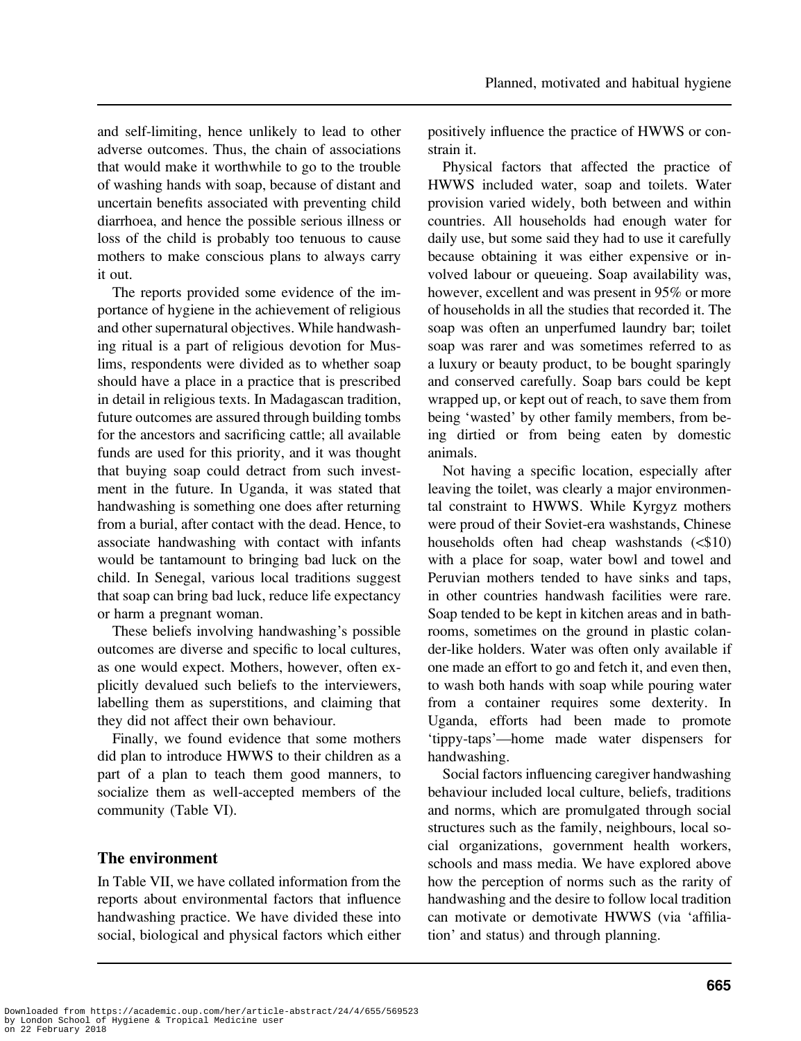and self-limiting, hence unlikely to lead to other adverse outcomes. Thus, the chain of associations that would make it worthwhile to go to the trouble of washing hands with soap, because of distant and uncertain benefits associated with preventing child diarrhoea, and hence the possible serious illness or loss of the child is probably too tenuous to cause mothers to make conscious plans to always carry it out.

The reports provided some evidence of the importance of hygiene in the achievement of religious and other supernatural objectives. While handwashing ritual is a part of religious devotion for Muslims, respondents were divided as to whether soap should have a place in a practice that is prescribed in detail in religious texts. In Madagascan tradition, future outcomes are assured through building tombs for the ancestors and sacrificing cattle; all available funds are used for this priority, and it was thought that buying soap could detract from such investment in the future. In Uganda, it was stated that handwashing is something one does after returning from a burial, after contact with the dead. Hence, to associate handwashing with contact with infants would be tantamount to bringing bad luck on the child. In Senegal, various local traditions suggest that soap can bring bad luck, reduce life expectancy or harm a pregnant woman.

These beliefs involving handwashing's possible outcomes are diverse and specific to local cultures, as one would expect. Mothers, however, often explicitly devalued such beliefs to the interviewers, labelling them as superstitions, and claiming that they did not affect their own behaviour.

Finally, we found evidence that some mothers did plan to introduce HWWS to their children as a part of a plan to teach them good manners, to socialize them as well-accepted members of the community (Table VI).

## The environment

In Table VII, we have collated information from the reports about environmental factors that influence handwashing practice. We have divided these into social, biological and physical factors which either positively influence the practice of HWWS or constrain it.

Physical factors that affected the practice of HWWS included water, soap and toilets. Water provision varied widely, both between and within countries. All households had enough water for daily use, but some said they had to use it carefully because obtaining it was either expensive or involved labour or queueing. Soap availability was, however, excellent and was present in 95% or more of households in all the studies that recorded it. The soap was often an unperfumed laundry bar; toilet soap was rarer and was sometimes referred to as a luxury or beauty product, to be bought sparingly and conserved carefully. Soap bars could be kept wrapped up, or kept out of reach, to save them from being 'wasted' by other family members, from being dirtied or from being eaten by domestic animals.

Not having a specific location, especially after leaving the toilet, was clearly a major environmental constraint to HWWS. While Kyrgyz mothers were proud of their Soviet-era washstands, Chinese households often had cheap washstands  $\leq 10$ ) with a place for soap, water bowl and towel and Peruvian mothers tended to have sinks and taps, in other countries handwash facilities were rare. Soap tended to be kept in kitchen areas and in bathrooms, sometimes on the ground in plastic colander-like holders. Water was often only available if one made an effort to go and fetch it, and even then, to wash both hands with soap while pouring water from a container requires some dexterity. In Uganda, efforts had been made to promote 'tippy-taps'—home made water dispensers for handwashing.

Social factors influencing caregiver handwashing behaviour included local culture, beliefs, traditions and norms, which are promulgated through social structures such as the family, neighbours, local social organizations, government health workers, schools and mass media. We have explored above how the perception of norms such as the rarity of handwashing and the desire to follow local tradition can motivate or demotivate HWWS (via 'affiliation' and status) and through planning.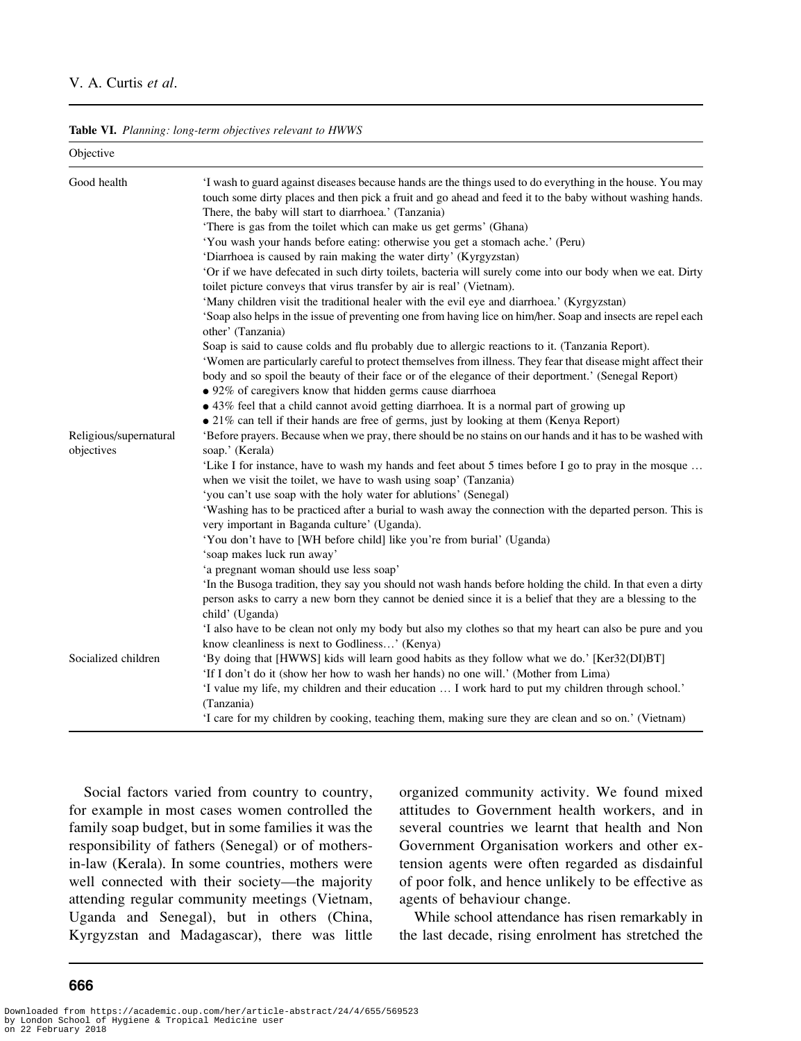| Table VI. Planning: long-term objectives relevant to HWWS |  |  |
|-----------------------------------------------------------|--|--|
|-----------------------------------------------------------|--|--|

| Objective                            |                                                                                                                                                                                                                                                                                                                                                                                         |
|--------------------------------------|-----------------------------------------------------------------------------------------------------------------------------------------------------------------------------------------------------------------------------------------------------------------------------------------------------------------------------------------------------------------------------------------|
| Good health                          | If wash to guard against diseases because hands are the things used to do everything in the house. You may<br>touch some dirty places and then pick a fruit and go ahead and feed it to the baby without washing hands.<br>There, the baby will start to diarrhoea.' (Tanzania)<br>'There is gas from the toilet which can make us get germs' (Ghana)                                   |
|                                      | 'You wash your hands before eating: otherwise you get a stomach ache.' (Peru)<br>'Diarrhoea is caused by rain making the water dirty' (Kyrgyzstan)                                                                                                                                                                                                                                      |
|                                      | 'Or if we have defecated in such dirty toilets, bacteria will surely come into our body when we eat. Dirty<br>toilet picture conveys that virus transfer by air is real' (Vietnam).                                                                                                                                                                                                     |
|                                      | 'Many children visit the traditional healer with the evil eye and diarrhoea.' (Kyrgyzstan)                                                                                                                                                                                                                                                                                              |
|                                      | 'Soap also helps in the issue of preventing one from having lice on him/her. Soap and insects are repel each<br>other' (Tanzania)                                                                                                                                                                                                                                                       |
|                                      | Soap is said to cause colds and flu probably due to allergic reactions to it. (Tanzania Report).<br>'Women are particularly careful to protect themselves from illness. They fear that disease might affect their<br>body and so spoil the beauty of their face or of the elegance of their deportment.' (Senegal Report)<br>• 92% of caregivers know that hidden germs cause diarrhoea |
|                                      | • 43% feel that a child cannot avoid getting diarrhoea. It is a normal part of growing up                                                                                                                                                                                                                                                                                               |
|                                      | • 21% can tell if their hands are free of germs, just by looking at them (Kenya Report)                                                                                                                                                                                                                                                                                                 |
| Religious/supernatural<br>objectives | Before prayers. Because when we pray, there should be no stains on our hands and it has to be washed with<br>soap.' (Kerala)                                                                                                                                                                                                                                                            |
|                                      | 'Like I for instance, have to wash my hands and feet about 5 times before I go to pray in the mosque<br>when we visit the toilet, we have to wash using soap' (Tanzania)                                                                                                                                                                                                                |
|                                      | 'you can't use soap with the holy water for ablutions' (Senegal)                                                                                                                                                                                                                                                                                                                        |
|                                      | 'Washing has to be practiced after a burial to wash away the connection with the departed person. This is<br>very important in Baganda culture' (Uganda).                                                                                                                                                                                                                               |
|                                      | 'You don't have to [WH before child] like you're from burial' (Uganda)<br>'soap makes luck run away'                                                                                                                                                                                                                                                                                    |
|                                      | 'a pregnant woman should use less soap'                                                                                                                                                                                                                                                                                                                                                 |
|                                      | In the Busoga tradition, they say you should not wash hands before holding the child. In that even a dirty<br>person asks to carry a new born they cannot be denied since it is a belief that they are a blessing to the<br>child' (Uganda)                                                                                                                                             |
|                                      | 'I also have to be clean not only my body but also my clothes so that my heart can also be pure and you<br>know cleanliness is next to Godliness' (Kenya)                                                                                                                                                                                                                               |
| Socialized children                  | 'By doing that [HWWS] kids will learn good habits as they follow what we do.' [Ker32(DI)BT]<br>'If I don't do it (show her how to wash her hands) no one will.' (Mother from Lima)                                                                                                                                                                                                      |
|                                      | 'I value my life, my children and their education  I work hard to put my children through school.'<br>(Tanzania)                                                                                                                                                                                                                                                                        |
|                                      | 'I care for my children by cooking, teaching them, making sure they are clean and so on.' (Vietnam)                                                                                                                                                                                                                                                                                     |

Social factors varied from country to country, for example in most cases women controlled the family soap budget, but in some families it was the responsibility of fathers (Senegal) or of mothersin-law (Kerala). In some countries, mothers were well connected with their society—the majority attending regular community meetings (Vietnam, Uganda and Senegal), but in others (China, Kyrgyzstan and Madagascar), there was little organized community activity. We found mixed attitudes to Government health workers, and in several countries we learnt that health and Non Government Organisation workers and other extension agents were often regarded as disdainful of poor folk, and hence unlikely to be effective as agents of behaviour change.

While school attendance has risen remarkably in the last decade, rising enrolment has stretched the

Downloaded from https://academic.oup.com/her/article-abstract/24/4/655/569523 by London School of Hygiene & Tropical Medicine user on 22 February 2018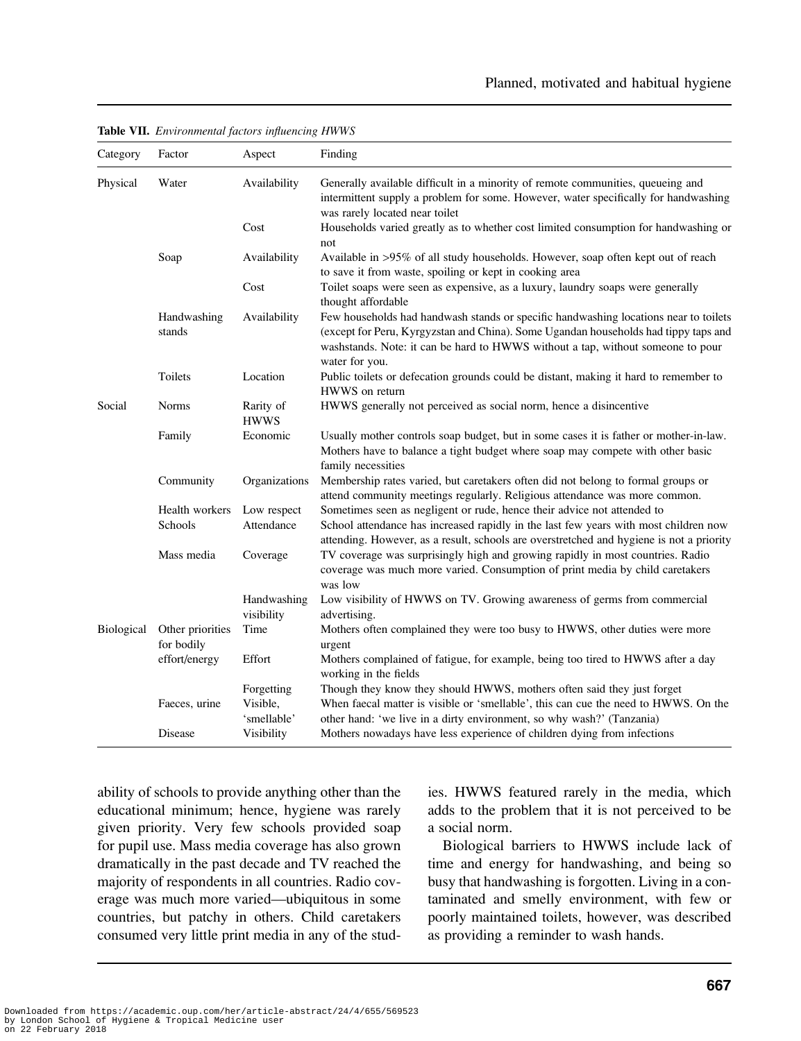| Category          | Factor                         | Aspect                                | Finding                                                                                                                                                                                                                                                                          |
|-------------------|--------------------------------|---------------------------------------|----------------------------------------------------------------------------------------------------------------------------------------------------------------------------------------------------------------------------------------------------------------------------------|
| Physical          | Water                          | Availability                          | Generally available difficult in a minority of remote communities, queueing and<br>intermittent supply a problem for some. However, water specifically for handwashing<br>was rarely located near toilet                                                                         |
|                   |                                | Cost                                  | Households varied greatly as to whether cost limited consumption for handwashing or<br>not                                                                                                                                                                                       |
|                   | Soap                           | Availability                          | Available in >95% of all study households. However, soap often kept out of reach<br>to save it from waste, spoiling or kept in cooking area                                                                                                                                      |
|                   |                                | Cost                                  | Toilet soaps were seen as expensive, as a luxury, laundry soaps were generally<br>thought affordable                                                                                                                                                                             |
|                   | Handwashing<br>stands          | Availability                          | Few households had handwash stands or specific handwashing locations near to toilets<br>(except for Peru, Kyrgyzstan and China). Some Ugandan households had tippy taps and<br>washstands. Note: it can be hard to HWWS without a tap, without someone to pour<br>water for you. |
|                   | Toilets                        | Location                              | Public toilets or defecation grounds could be distant, making it hard to remember to<br>HWWS on return                                                                                                                                                                           |
| Social            | <b>Norms</b>                   | Rarity of<br><b>HWWS</b>              | HWWS generally not perceived as social norm, hence a disincentive                                                                                                                                                                                                                |
|                   | Family                         | Economic                              | Usually mother controls soap budget, but in some cases it is father or mother-in-law.<br>Mothers have to balance a tight budget where soap may compete with other basic<br>family necessities                                                                                    |
|                   | Community                      | Organizations                         | Membership rates varied, but caretakers often did not belong to formal groups or<br>attend community meetings regularly. Religious attendance was more common.                                                                                                                   |
|                   | Health workers<br>Schools      | Low respect<br>Attendance             | Sometimes seen as negligent or rude, hence their advice not attended to<br>School attendance has increased rapidly in the last few years with most children now<br>attending. However, as a result, schools are overstretched and hygiene is not a priority                      |
|                   | Mass media                     | Coverage                              | TV coverage was surprisingly high and growing rapidly in most countries. Radio<br>coverage was much more varied. Consumption of print media by child caretakers<br>was low                                                                                                       |
|                   |                                | Handwashing<br>visibility             | Low visibility of HWWS on TV. Growing awareness of germs from commercial<br>advertising.                                                                                                                                                                                         |
| <b>Biological</b> | Other priorities<br>for bodily | Time                                  | Mothers often complained they were too busy to HWWS, other duties were more<br>urgent                                                                                                                                                                                            |
|                   | effort/energy                  | Effort                                | Mothers complained of fatigue, for example, being too tired to HWWS after a day<br>working in the fields                                                                                                                                                                         |
|                   | Faeces, urine                  | Forgetting<br>Visible,<br>'smellable' | Though they know they should HWWS, mothers often said they just forget<br>When faecal matter is visible or 'smellable', this can cue the need to HWWS. On the<br>other hand: 'we live in a dirty environment, so why wash?' (Tanzania)                                           |
|                   | Disease                        | Visibility                            | Mothers nowadays have less experience of children dying from infections                                                                                                                                                                                                          |

Table VII. Environmental factors influencing HWWS

ability of schools to provide anything other than the educational minimum; hence, hygiene was rarely given priority. Very few schools provided soap for pupil use. Mass media coverage has also grown dramatically in the past decade and TV reached the majority of respondents in all countries. Radio coverage was much more varied—ubiquitous in some countries, but patchy in others. Child caretakers consumed very little print media in any of the studies. HWWS featured rarely in the media, which adds to the problem that it is not perceived to be a social norm.

Biological barriers to HWWS include lack of time and energy for handwashing, and being so busy that handwashing is forgotten. Living in a contaminated and smelly environment, with few or poorly maintained toilets, however, was described as providing a reminder to wash hands.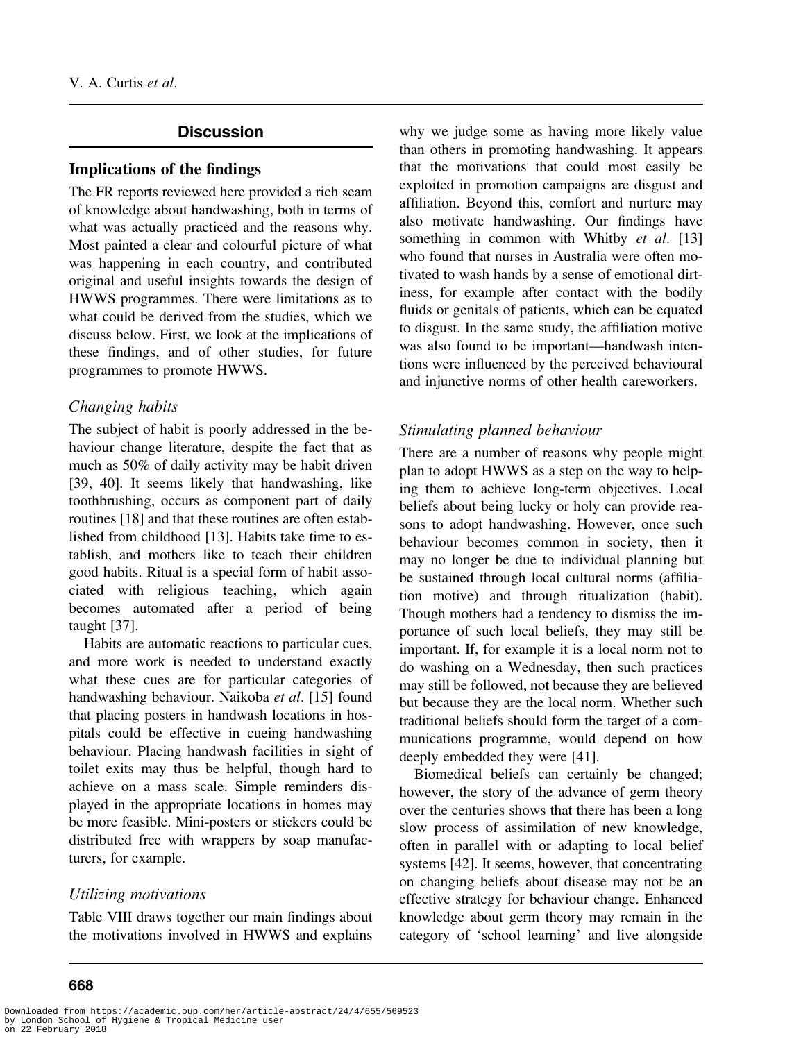## **Discussion**

### Implications of the findings

The FR reports reviewed here provided a rich seam of knowledge about handwashing, both in terms of what was actually practiced and the reasons why. Most painted a clear and colourful picture of what was happening in each country, and contributed original and useful insights towards the design of HWWS programmes. There were limitations as to what could be derived from the studies, which we discuss below. First, we look at the implications of these findings, and of other studies, for future programmes to promote HWWS.

## Changing habits

The subject of habit is poorly addressed in the behaviour change literature, despite the fact that as much as 50% of daily activity may be habit driven [39, 40]. It seems likely that handwashing, like toothbrushing, occurs as component part of daily routines [18] and that these routines are often established from childhood [13]. Habits take time to establish, and mothers like to teach their children good habits. Ritual is a special form of habit associated with religious teaching, which again becomes automated after a period of being taught [37].

Habits are automatic reactions to particular cues, and more work is needed to understand exactly what these cues are for particular categories of handwashing behaviour. Naikoba et al. [15] found that placing posters in handwash locations in hospitals could be effective in cueing handwashing behaviour. Placing handwash facilities in sight of toilet exits may thus be helpful, though hard to achieve on a mass scale. Simple reminders displayed in the appropriate locations in homes may be more feasible. Mini-posters or stickers could be distributed free with wrappers by soap manufacturers, for example.

## Utilizing motivations

Table VIII draws together our main findings about the motivations involved in HWWS and explains why we judge some as having more likely value than others in promoting handwashing. It appears that the motivations that could most easily be exploited in promotion campaigns are disgust and affiliation. Beyond this, comfort and nurture may also motivate handwashing. Our findings have something in common with Whitby et al. [13] who found that nurses in Australia were often motivated to wash hands by a sense of emotional dirtiness, for example after contact with the bodily fluids or genitals of patients, which can be equated to disgust. In the same study, the affiliation motive was also found to be important—handwash intentions were influenced by the perceived behavioural and injunctive norms of other health careworkers.

## Stimulating planned behaviour

There are a number of reasons why people might plan to adopt HWWS as a step on the way to helping them to achieve long-term objectives. Local beliefs about being lucky or holy can provide reasons to adopt handwashing. However, once such behaviour becomes common in society, then it may no longer be due to individual planning but be sustained through local cultural norms (affiliation motive) and through ritualization (habit). Though mothers had a tendency to dismiss the importance of such local beliefs, they may still be important. If, for example it is a local norm not to do washing on a Wednesday, then such practices may still be followed, not because they are believed but because they are the local norm. Whether such traditional beliefs should form the target of a communications programme, would depend on how deeply embedded they were [41].

Biomedical beliefs can certainly be changed; however, the story of the advance of germ theory over the centuries shows that there has been a long slow process of assimilation of new knowledge, often in parallel with or adapting to local belief systems [42]. It seems, however, that concentrating on changing beliefs about disease may not be an effective strategy for behaviour change. Enhanced knowledge about germ theory may remain in the category of 'school learning' and live alongside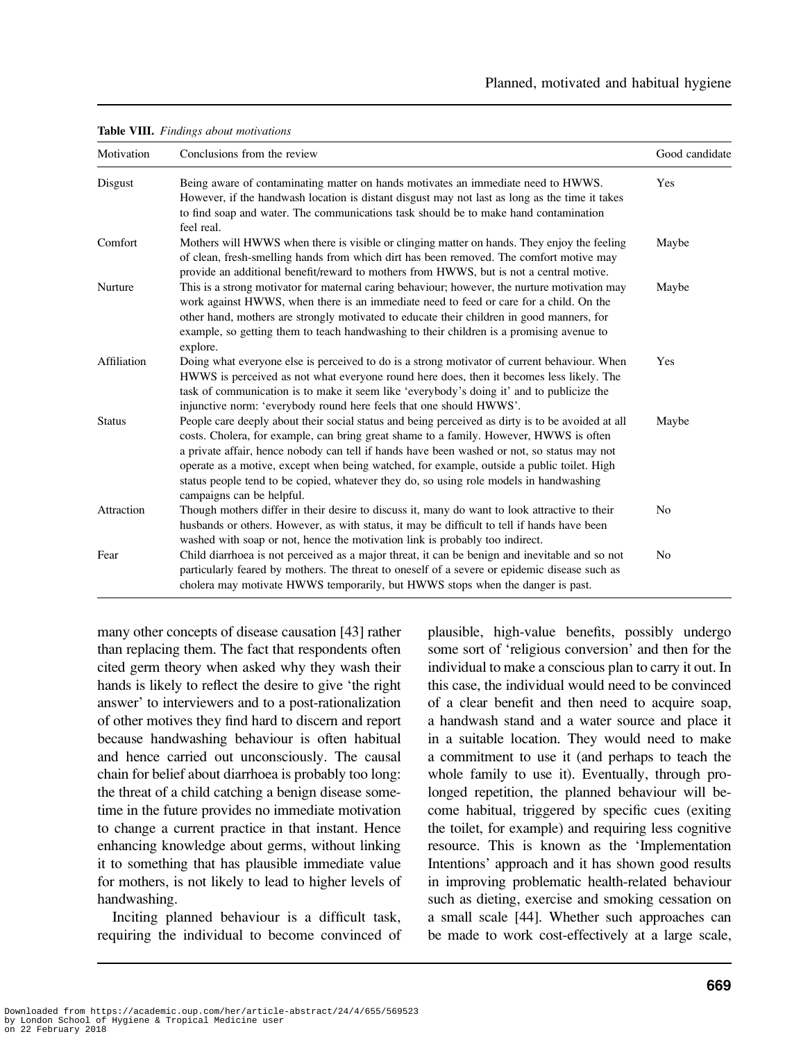| Motivation    | Conclusions from the review                                                                                                                                                                                                                                                                                                                                                                                                                                                                                     | Good candidate |
|---------------|-----------------------------------------------------------------------------------------------------------------------------------------------------------------------------------------------------------------------------------------------------------------------------------------------------------------------------------------------------------------------------------------------------------------------------------------------------------------------------------------------------------------|----------------|
| Disgust       | Being aware of contaminating matter on hands motivates an immediate need to HWWS.<br>However, if the handwash location is distant disgust may not last as long as the time it takes<br>to find soap and water. The communications task should be to make hand contamination<br>feel real.                                                                                                                                                                                                                       | Yes            |
| Comfort       | Mothers will HWWS when there is visible or clinging matter on hands. They enjoy the feeling<br>of clean, fresh-smelling hands from which dirt has been removed. The comfort motive may<br>provide an additional benefit/reward to mothers from HWWS, but is not a central motive.                                                                                                                                                                                                                               | Maybe          |
| Nurture       | This is a strong motivator for maternal caring behaviour; however, the nurture motivation may<br>work against HWWS, when there is an immediate need to feed or care for a child. On the<br>other hand, mothers are strongly motivated to educate their children in good manners, for<br>example, so getting them to teach handwashing to their children is a promising avenue to<br>explore.                                                                                                                    | Maybe          |
| Affiliation   | Doing what everyone else is perceived to do is a strong motivator of current behaviour. When<br>HWWS is perceived as not what everyone round here does, then it becomes less likely. The<br>task of communication is to make it seem like 'everybody's doing it' and to publicize the<br>injunctive norm: 'everybody round here feels that one should HWWS'.                                                                                                                                                    | Yes            |
| <b>Status</b> | People care deeply about their social status and being perceived as dirty is to be avoided at all<br>costs. Cholera, for example, can bring great shame to a family. However, HWWS is often<br>a private affair, hence nobody can tell if hands have been washed or not, so status may not<br>operate as a motive, except when being watched, for example, outside a public toilet. High<br>status people tend to be copied, whatever they do, so using role models in handwashing<br>campaigns can be helpful. | Maybe          |
| Attraction    | Though mothers differ in their desire to discuss it, many do want to look attractive to their<br>husbands or others. However, as with status, it may be difficult to tell if hands have been<br>washed with soap or not, hence the motivation link is probably too indirect.                                                                                                                                                                                                                                    | N <sub>0</sub> |
| Fear          | Child diarrhoea is not perceived as a major threat, it can be benign and inevitable and so not<br>particularly feared by mothers. The threat to oneself of a severe or epidemic disease such as<br>cholera may motivate HWWS temporarily, but HWWS stops when the danger is past.                                                                                                                                                                                                                               | N <sub>0</sub> |

Table VIII. Findings about motivations

many other concepts of disease causation [43] rather than replacing them. The fact that respondents often cited germ theory when asked why they wash their hands is likely to reflect the desire to give 'the right answer' to interviewers and to a post-rationalization of other motives they find hard to discern and report because handwashing behaviour is often habitual and hence carried out unconsciously. The causal chain for belief about diarrhoea is probably too long: the threat of a child catching a benign disease sometime in the future provides no immediate motivation to change a current practice in that instant. Hence enhancing knowledge about germs, without linking it to something that has plausible immediate value for mothers, is not likely to lead to higher levels of handwashing.

Inciting planned behaviour is a difficult task, requiring the individual to become convinced of plausible, high-value benefits, possibly undergo some sort of 'religious conversion' and then for the individual to make a conscious plan to carry it out. In this case, the individual would need to be convinced of a clear benefit and then need to acquire soap, a handwash stand and a water source and place it in a suitable location. They would need to make a commitment to use it (and perhaps to teach the whole family to use it). Eventually, through prolonged repetition, the planned behaviour will become habitual, triggered by specific cues (exiting the toilet, for example) and requiring less cognitive resource. This is known as the 'Implementation Intentions' approach and it has shown good results in improving problematic health-related behaviour such as dieting, exercise and smoking cessation on a small scale [44]. Whether such approaches can be made to work cost-effectively at a large scale,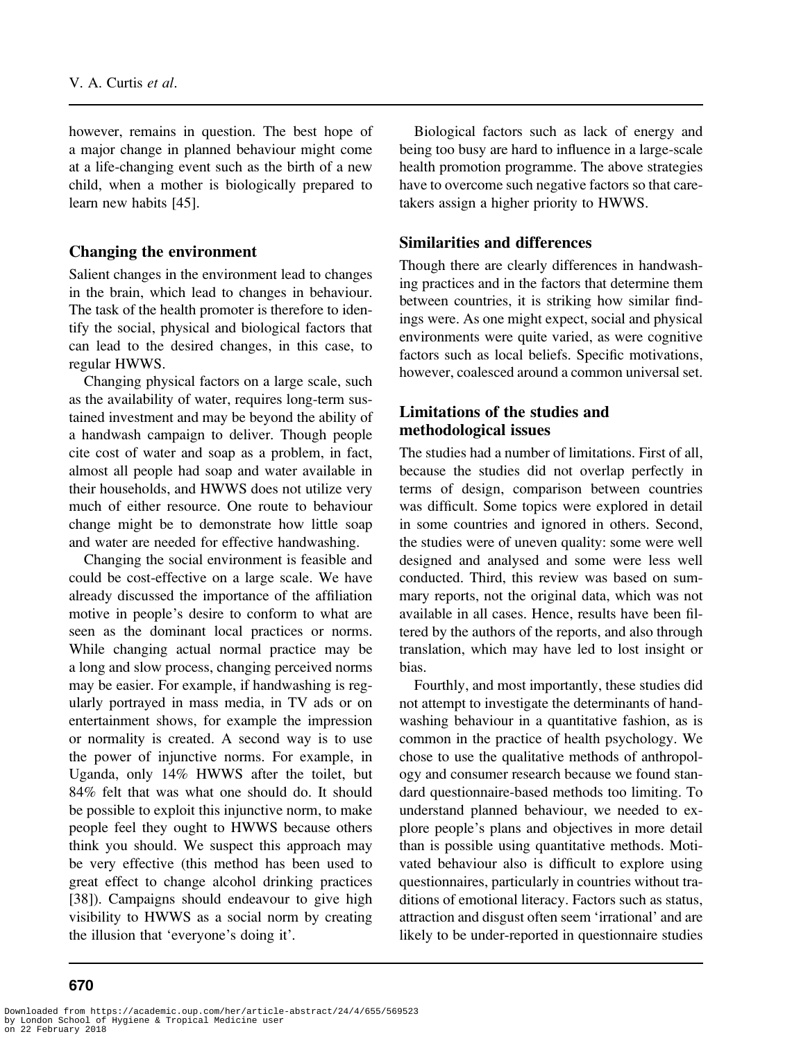however, remains in question. The best hope of a major change in planned behaviour might come at a life-changing event such as the birth of a new child, when a mother is biologically prepared to learn new habits [45].

### Changing the environment

Salient changes in the environment lead to changes in the brain, which lead to changes in behaviour. The task of the health promoter is therefore to identify the social, physical and biological factors that can lead to the desired changes, in this case, to regular HWWS.

Changing physical factors on a large scale, such as the availability of water, requires long-term sustained investment and may be beyond the ability of a handwash campaign to deliver. Though people cite cost of water and soap as a problem, in fact, almost all people had soap and water available in their households, and HWWS does not utilize very much of either resource. One route to behaviour change might be to demonstrate how little soap and water are needed for effective handwashing.

Changing the social environment is feasible and could be cost-effective on a large scale. We have already discussed the importance of the affiliation motive in people's desire to conform to what are seen as the dominant local practices or norms. While changing actual normal practice may be a long and slow process, changing perceived norms may be easier. For example, if handwashing is regularly portrayed in mass media, in TV ads or on entertainment shows, for example the impression or normality is created. A second way is to use the power of injunctive norms. For example, in Uganda, only 14% HWWS after the toilet, but 84% felt that was what one should do. It should be possible to exploit this injunctive norm, to make people feel they ought to HWWS because others think you should. We suspect this approach may be very effective (this method has been used to great effect to change alcohol drinking practices [38]). Campaigns should endeavour to give high visibility to HWWS as a social norm by creating the illusion that 'everyone's doing it'.

Biological factors such as lack of energy and being too busy are hard to influence in a large-scale health promotion programme. The above strategies have to overcome such negative factors so that caretakers assign a higher priority to HWWS.

### Similarities and differences

Though there are clearly differences in handwashing practices and in the factors that determine them between countries, it is striking how similar findings were. As one might expect, social and physical environments were quite varied, as were cognitive factors such as local beliefs. Specific motivations, however, coalesced around a common universal set.

## Limitations of the studies and methodological issues

The studies had a number of limitations. First of all, because the studies did not overlap perfectly in terms of design, comparison between countries was difficult. Some topics were explored in detail in some countries and ignored in others. Second, the studies were of uneven quality: some were well designed and analysed and some were less well conducted. Third, this review was based on summary reports, not the original data, which was not available in all cases. Hence, results have been filtered by the authors of the reports, and also through translation, which may have led to lost insight or bias.

Fourthly, and most importantly, these studies did not attempt to investigate the determinants of handwashing behaviour in a quantitative fashion, as is common in the practice of health psychology. We chose to use the qualitative methods of anthropology and consumer research because we found standard questionnaire-based methods too limiting. To understand planned behaviour, we needed to explore people's plans and objectives in more detail than is possible using quantitative methods. Motivated behaviour also is difficult to explore using questionnaires, particularly in countries without traditions of emotional literacy. Factors such as status, attraction and disgust often seem 'irrational' and are likely to be under-reported in questionnaire studies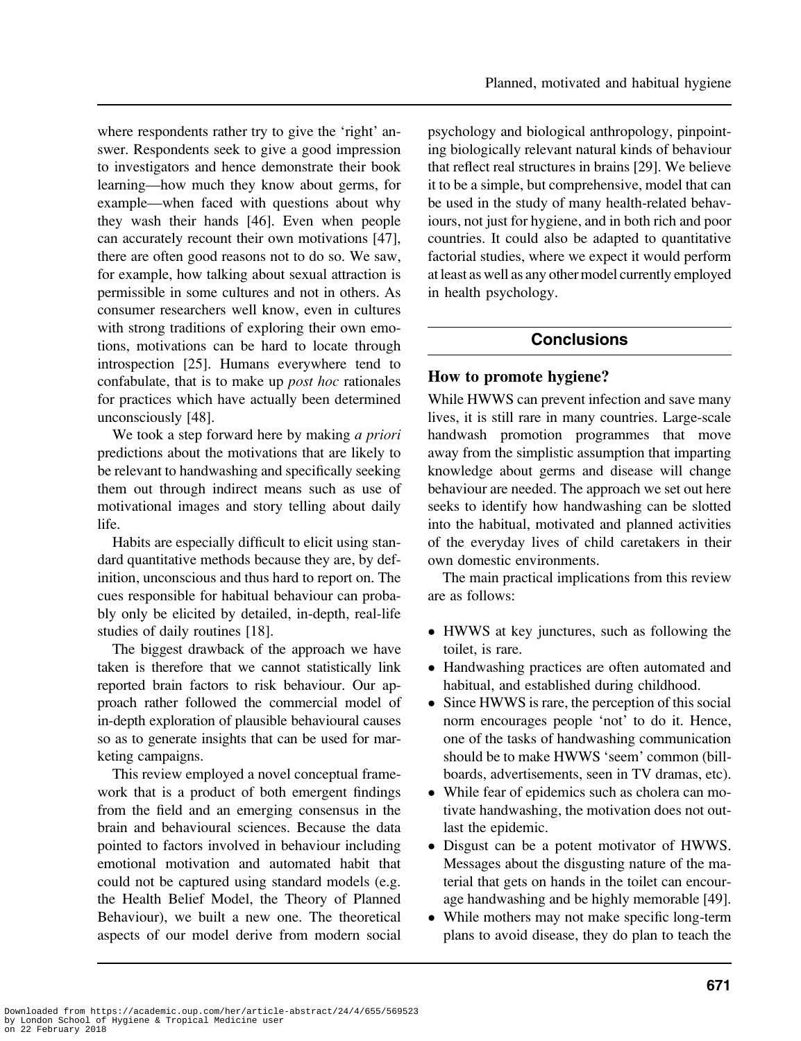where respondents rather try to give the 'right' answer. Respondents seek to give a good impression to investigators and hence demonstrate their book learning—how much they know about germs, for example—when faced with questions about why they wash their hands [46]. Even when people can accurately recount their own motivations [47], there are often good reasons not to do so. We saw, for example, how talking about sexual attraction is permissible in some cultures and not in others. As consumer researchers well know, even in cultures with strong traditions of exploring their own emotions, motivations can be hard to locate through introspection [25]. Humans everywhere tend to confabulate, that is to make up post hoc rationales for practices which have actually been determined unconsciously [48].

We took a step forward here by making *a priori* predictions about the motivations that are likely to be relevant to handwashing and specifically seeking them out through indirect means such as use of motivational images and story telling about daily life.

Habits are especially difficult to elicit using standard quantitative methods because they are, by definition, unconscious and thus hard to report on. The cues responsible for habitual behaviour can probably only be elicited by detailed, in-depth, real-life studies of daily routines [18].

The biggest drawback of the approach we have taken is therefore that we cannot statistically link reported brain factors to risk behaviour. Our approach rather followed the commercial model of in-depth exploration of plausible behavioural causes so as to generate insights that can be used for marketing campaigns.

This review employed a novel conceptual framework that is a product of both emergent findings from the field and an emerging consensus in the brain and behavioural sciences. Because the data pointed to factors involved in behaviour including emotional motivation and automated habit that could not be captured using standard models (e.g. the Health Belief Model, the Theory of Planned Behaviour), we built a new one. The theoretical aspects of our model derive from modern social psychology and biological anthropology, pinpointing biologically relevant natural kinds of behaviour that reflect real structures in brains [29]. We believe it to be a simple, but comprehensive, model that can be used in the study of many health-related behaviours, not just for hygiene, and in both rich and poor countries. It could also be adapted to quantitative factorial studies, where we expect it would perform at least as well as any other model currently employed in health psychology.

## **Conclusions**

# How to promote hygiene?

While HWWS can prevent infection and save many lives, it is still rare in many countries. Large-scale handwash promotion programmes that move away from the simplistic assumption that imparting knowledge about germs and disease will change behaviour are needed. The approach we set out here seeks to identify how handwashing can be slotted into the habitual, motivated and planned activities of the everyday lives of child caretakers in their own domestic environments.

The main practical implications from this review are as follows:

- HWWS at key junctures, such as following the toilet, is rare.
- Handwashing practices are often automated and habitual, and established during childhood.
- Since HWWS is rare, the perception of this social norm encourages people 'not' to do it. Hence, one of the tasks of handwashing communication should be to make HWWS 'seem' common (billboards, advertisements, seen in TV dramas, etc).
- While fear of epidemics such as cholera can motivate handwashing, the motivation does not outlast the epidemic.
- Disgust can be a potent motivator of HWWS. Messages about the disgusting nature of the material that gets on hands in the toilet can encourage handwashing and be highly memorable [49].
- While mothers may not make specific long-term plans to avoid disease, they do plan to teach the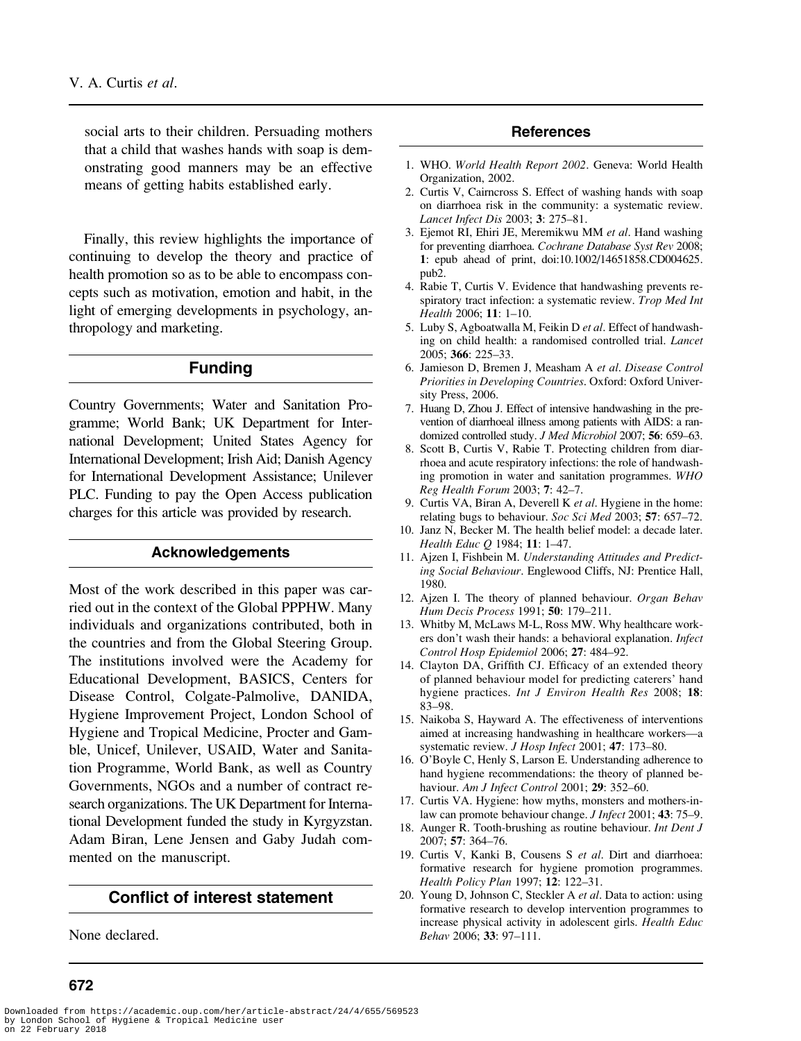social arts to their children. Persuading mothers that a child that washes hands with soap is demonstrating good manners may be an effective means of getting habits established early.

Finally, this review highlights the importance of continuing to develop the theory and practice of health promotion so as to be able to encompass concepts such as motivation, emotion and habit, in the light of emerging developments in psychology, anthropology and marketing.

## Funding

Country Governments; Water and Sanitation Programme; World Bank; UK Department for International Development; United States Agency for International Development; Irish Aid; Danish Agency for International Development Assistance; Unilever PLC. Funding to pay the Open Access publication charges for this article was provided by research.

## Acknowledgements

Most of the work described in this paper was carried out in the context of the Global PPPHW. Many individuals and organizations contributed, both in the countries and from the Global Steering Group. The institutions involved were the Academy for Educational Development, BASICS, Centers for Disease Control, Colgate-Palmolive, DANIDA, Hygiene Improvement Project, London School of Hygiene and Tropical Medicine, Procter and Gamble, Unicef, Unilever, USAID, Water and Sanitation Programme, World Bank, as well as Country Governments, NGOs and a number of contract research organizations. The UK Department for International Development funded the study in Kyrgyzstan. Adam Biran, Lene Jensen and Gaby Judah commented on the manuscript.

# Conflict of interest statement

None declared.

672

#### **References**

- 1. WHO. World Health Report 2002. Geneva: World Health Organization, 2002.
- 2. Curtis V, Cairncross S. Effect of washing hands with soap on diarrhoea risk in the community: a systematic review. Lancet Infect Dis 2003; 3: 275–81.
- 3. Ejemot RI, Ehiri JE, Meremikwu MM et al. Hand washing for preventing diarrhoea. Cochrane Database Syst Rev 2008; 1: epub ahead of print, doi:10.1002/14651858.CD004625. pub2.
- 4. Rabie T, Curtis V. Evidence that handwashing prevents respiratory tract infection: a systematic review. Trop Med Int Health 2006; 11: 1–10.
- 5. Luby S, Agboatwalla M, Feikin D et al. Effect of handwashing on child health: a randomised controlled trial. Lancet 2005; 366: 225–33.
- 6. Jamieson D, Bremen J, Measham A et al. Disease Control Priorities in Developing Countries. Oxford: Oxford University Press, 2006.
- 7. Huang D, Zhou J. Effect of intensive handwashing in the prevention of diarrhoeal illness among patients with AIDS: a randomized controlled study. J Med Microbiol 2007; 56: 659–63.
- 8. Scott B, Curtis V, Rabie T. Protecting children from diarrhoea and acute respiratory infections: the role of handwashing promotion in water and sanitation programmes. WHO Reg Health Forum 2003; 7: 42–7.
- 9. Curtis VA, Biran A, Deverell K et al. Hygiene in the home: relating bugs to behaviour. Soc Sci Med 2003; 57: 657–72.
- 10. Janz N, Becker M. The health belief model: a decade later. Health Educ Q 1984; 11: 1–47.
- 11. Ajzen I, Fishbein M. Understanding Attitudes and Predicting Social Behaviour. Englewood Cliffs, NJ: Prentice Hall, 1980.
- 12. Ajzen I. The theory of planned behaviour. Organ Behav Hum Decis Process 1991; 50: 179–211.
- 13. Whitby M, McLaws M-L, Ross MW. Why healthcare workers don't wash their hands: a behavioral explanation. Infect Control Hosp Epidemiol 2006; 27: 484–92.
- 14. Clayton DA, Griffith CJ. Efficacy of an extended theory of planned behaviour model for predicting caterers' hand hygiene practices. Int J Environ Health Res 2008; 18: 83–98.
- 15. Naikoba S, Hayward A. The effectiveness of interventions aimed at increasing handwashing in healthcare workers—a systematic review. J Hosp Infect 2001; 47: 173–80.
- 16. O'Boyle C, Henly S, Larson E. Understanding adherence to hand hygiene recommendations: the theory of planned behaviour. Am J Infect Control 2001; 29: 352–60.
- 17. Curtis VA. Hygiene: how myths, monsters and mothers-inlaw can promote behaviour change. J Infect 2001; 43: 75–9.
- 18. Aunger R. Tooth-brushing as routine behaviour. Int Dent J 2007; 57: 364–76.
- 19. Curtis V, Kanki B, Cousens S et al. Dirt and diarrhoea: formative research for hygiene promotion programmes. Health Policy Plan 1997; 12: 122–31.
- 20. Young D, Johnson C, Steckler A et al. Data to action: using formative research to develop intervention programmes to increase physical activity in adolescent girls. Health Educ Behav 2006; 33: 97–111.